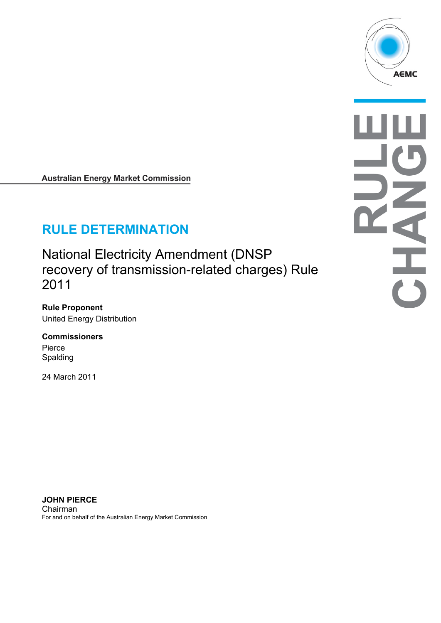

**Australian Energy Market Commission** 

# **RULE DETERMINATION**

National Electricity Amendment (DNSP recovery of transmission-related charges) Rule 2011

**Rule Proponent**  United Energy Distribution

**Commissioners**  Pierce Spalding

24 March 2011

**JOHN PIERCE**  Chairman For and on behalf of the Australian Energy Market Commission E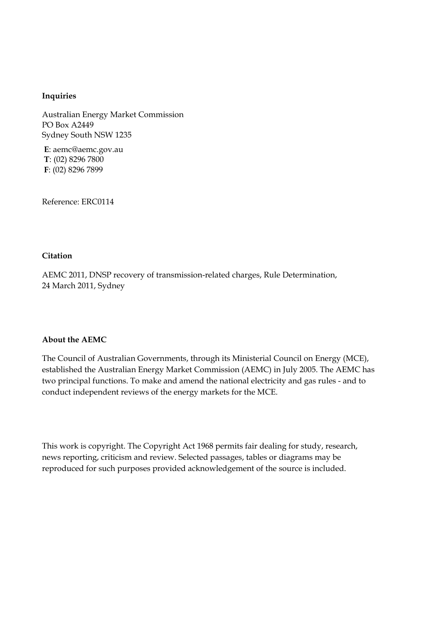#### **Inquiries**

Australian Energy Market Commission PO Box A2449 Sydney South NSW 1235

**E**: aemc@aemc.gov.au **T**: (02) 8296 7800 **F**: (02) 8296 7899

Reference: ERC0114

#### **Citation**

AEMC 2011, DNSP recovery of transmission-related charges, Rule Determination, 24 March 2011, Sydney

#### **About the AEMC**

The Council of Australian Governments, through its Ministerial Council on Energy (MCE), established the Australian Energy Market Commission (AEMC) in July 2005. The AEMC has two principal functions. To make and amend the national electricity and gas rules - and to conduct independent reviews of the energy markets for the MCE.

This work is copyright. The Copyright Act 1968 permits fair dealing for study, research, news reporting, criticism and review. Selected passages, tables or diagrams may be reproduced for such purposes provided acknowledgement of the source is included.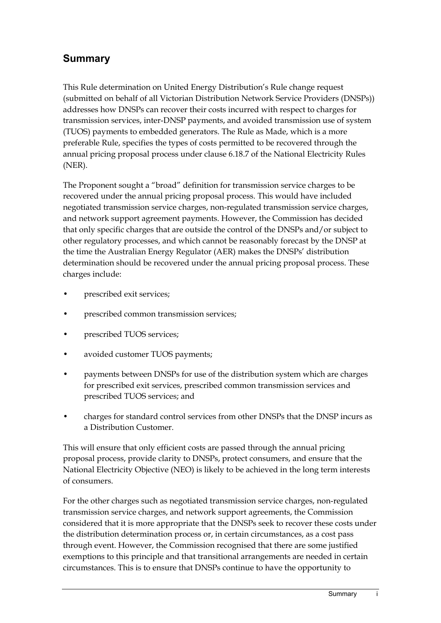## **Summary**

This Rule determination on United Energy Distribution's Rule change request (submitted on behalf of all Victorian Distribution Network Service Providers (DNSPs)) addresses how DNSPs can recover their costs incurred with respect to charges for transmission services, inter-DNSP payments, and avoided transmission use of system (TUOS) payments to embedded generators. The Rule as Made, which is a more preferable Rule, specifies the types of costs permitted to be recovered through the annual pricing proposal process under clause 6.18.7 of the National Electricity Rules (NER).

The Proponent sought a "broad" definition for transmission service charges to be recovered under the annual pricing proposal process. This would have included negotiated transmission service charges, non-regulated transmission service charges, and network support agreement payments. However, the Commission has decided that only specific charges that are outside the control of the DNSPs and/or subject to other regulatory processes, and which cannot be reasonably forecast by the DNSP at the time the Australian Energy Regulator (AER) makes the DNSPs' distribution determination should be recovered under the annual pricing proposal process. These charges include:

- prescribed exit services;
- prescribed common transmission services;
- prescribed TUOS services;
- avoided customer TUOS payments;
- payments between DNSPs for use of the distribution system which are charges for prescribed exit services, prescribed common transmission services and prescribed TUOS services; and
- charges for standard control services from other DNSPs that the DNSP incurs as a Distribution Customer.

This will ensure that only efficient costs are passed through the annual pricing proposal process, provide clarity to DNSPs, protect consumers, and ensure that the National Electricity Objective (NEO) is likely to be achieved in the long term interests of consumers.

For the other charges such as negotiated transmission service charges, non-regulated transmission service charges, and network support agreements, the Commission considered that it is more appropriate that the DNSPs seek to recover these costs under the distribution determination process or, in certain circumstances, as a cost pass through event. However, the Commission recognised that there are some justified exemptions to this principle and that transitional arrangements are needed in certain circumstances. This is to ensure that DNSPs continue to have the opportunity to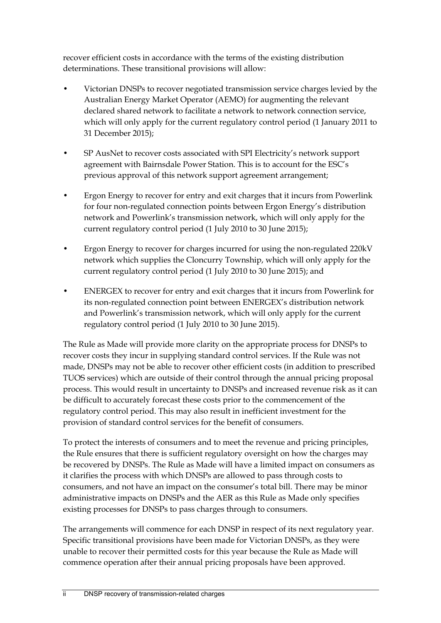recover efficient costs in accordance with the terms of the existing distribution determinations. These transitional provisions will allow:

- Victorian DNSPs to recover negotiated transmission service charges levied by the Australian Energy Market Operator (AEMO) for augmenting the relevant declared shared network to facilitate a network to network connection service, which will only apply for the current regulatory control period (1 January 2011 to 31 December 2015);
- SP AusNet to recover costs associated with SPI Electricity's network support agreement with Bairnsdale Power Station. This is to account for the ESC's previous approval of this network support agreement arrangement;
- Ergon Energy to recover for entry and exit charges that it incurs from Powerlink for four non-regulated connection points between Ergon Energy's distribution network and Powerlink's transmission network, which will only apply for the current regulatory control period (1 July 2010 to 30 June 2015);
- Ergon Energy to recover for charges incurred for using the non-regulated 220kV network which supplies the Cloncurry Township, which will only apply for the current regulatory control period (1 July 2010 to 30 June 2015); and
- ENERGEX to recover for entry and exit charges that it incurs from Powerlink for its non-regulated connection point between ENERGEX's distribution network and Powerlink's transmission network, which will only apply for the current regulatory control period (1 July 2010 to 30 June 2015).

The Rule as Made will provide more clarity on the appropriate process for DNSPs to recover costs they incur in supplying standard control services. If the Rule was not made, DNSPs may not be able to recover other efficient costs (in addition to prescribed TUOS services) which are outside of their control through the annual pricing proposal process. This would result in uncertainty to DNSPs and increased revenue risk as it can be difficult to accurately forecast these costs prior to the commencement of the regulatory control period. This may also result in inefficient investment for the provision of standard control services for the benefit of consumers.

To protect the interests of consumers and to meet the revenue and pricing principles, the Rule ensures that there is sufficient regulatory oversight on how the charges may be recovered by DNSPs. The Rule as Made will have a limited impact on consumers as it clarifies the process with which DNSPs are allowed to pass through costs to consumers, and not have an impact on the consumer's total bill. There may be minor administrative impacts on DNSPs and the AER as this Rule as Made only specifies existing processes for DNSPs to pass charges through to consumers.

The arrangements will commence for each DNSP in respect of its next regulatory year. Specific transitional provisions have been made for Victorian DNSPs, as they were unable to recover their permitted costs for this year because the Rule as Made will commence operation after their annual pricing proposals have been approved.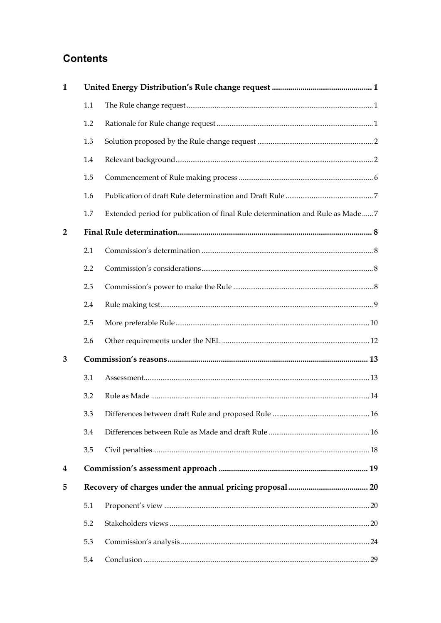## **Contents**

| $\mathbf{1}$   |     |                                                                               |  |
|----------------|-----|-------------------------------------------------------------------------------|--|
|                | 1.1 |                                                                               |  |
|                | 1.2 |                                                                               |  |
|                | 1.3 |                                                                               |  |
|                | 1.4 |                                                                               |  |
|                | 1.5 |                                                                               |  |
|                | 1.6 |                                                                               |  |
|                | 1.7 | Extended period for publication of final Rule determination and Rule as Made7 |  |
| $\overline{2}$ |     |                                                                               |  |
|                | 2.1 |                                                                               |  |
|                | 2.2 |                                                                               |  |
|                | 2.3 |                                                                               |  |
|                | 2.4 |                                                                               |  |
|                | 2.5 |                                                                               |  |
|                | 2.6 |                                                                               |  |
| 3              |     |                                                                               |  |
|                | 3.1 |                                                                               |  |
|                | 3.2 |                                                                               |  |
|                | 3.3 |                                                                               |  |
|                | 3.4 |                                                                               |  |
|                | 3.5 |                                                                               |  |
| 4              |     |                                                                               |  |
| 5              |     |                                                                               |  |
|                | 5.1 |                                                                               |  |
|                | 5.2 |                                                                               |  |
|                | 5.3 |                                                                               |  |
|                | 5.4 |                                                                               |  |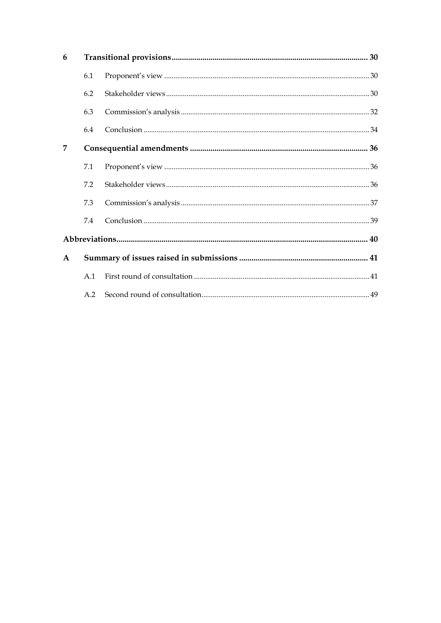| 6            |     |  |  |
|--------------|-----|--|--|
|              | 6.1 |  |  |
|              | 6.2 |  |  |
|              | 6.3 |  |  |
|              | 6.4 |  |  |
| 7            |     |  |  |
|              | 7.1 |  |  |
|              | 7.2 |  |  |
|              | 7.3 |  |  |
|              | 7.4 |  |  |
|              |     |  |  |
| $\mathbf{A}$ |     |  |  |
|              | A.1 |  |  |
|              | A.2 |  |  |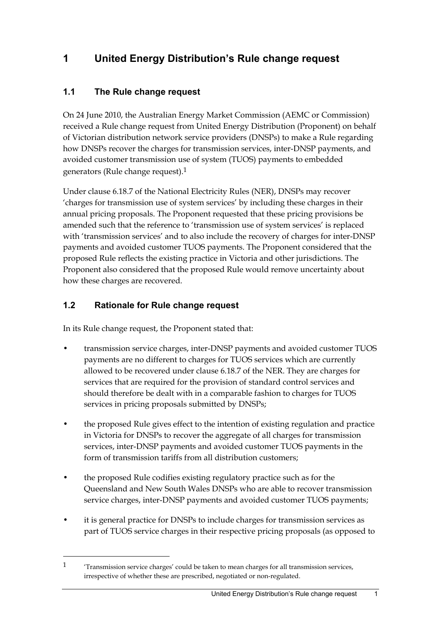# **1 United Energy Distribution's Rule change request**

## **1.1 The Rule change request**

On 24 June 2010, the Australian Energy Market Commission (AEMC or Commission) received a Rule change request from United Energy Distribution (Proponent) on behalf of Victorian distribution network service providers (DNSPs) to make a Rule regarding how DNSPs recover the charges for transmission services, inter-DNSP payments, and avoided customer transmission use of system (TUOS) payments to embedded generators (Rule change request).1

Under clause 6.18.7 of the National Electricity Rules (NER), DNSPs may recover 'charges for transmission use of system services' by including these charges in their annual pricing proposals. The Proponent requested that these pricing provisions be amended such that the reference to 'transmission use of system services' is replaced with 'transmission services' and to also include the recovery of charges for inter-DNSP payments and avoided customer TUOS payments. The Proponent considered that the proposed Rule reflects the existing practice in Victoria and other jurisdictions. The Proponent also considered that the proposed Rule would remove uncertainty about how these charges are recovered.

## **1.2 Rationale for Rule change request**

1

In its Rule change request, the Proponent stated that:

- transmission service charges, inter-DNSP payments and avoided customer TUOS payments are no different to charges for TUOS services which are currently allowed to be recovered under clause 6.18.7 of the NER. They are charges for services that are required for the provision of standard control services and should therefore be dealt with in a comparable fashion to charges for TUOS services in pricing proposals submitted by DNSPs;
- the proposed Rule gives effect to the intention of existing regulation and practice in Victoria for DNSPs to recover the aggregate of all charges for transmission services, inter-DNSP payments and avoided customer TUOS payments in the form of transmission tariffs from all distribution customers;
- the proposed Rule codifies existing regulatory practice such as for the Queensland and New South Wales DNSPs who are able to recover transmission service charges, inter-DNSP payments and avoided customer TUOS payments;
- it is general practice for DNSPs to include charges for transmission services as part of TUOS service charges in their respective pricing proposals (as opposed to

<sup>1 &#</sup>x27;Transmission service charges' could be taken to mean charges for all transmission services, irrespective of whether these are prescribed, negotiated or non-regulated.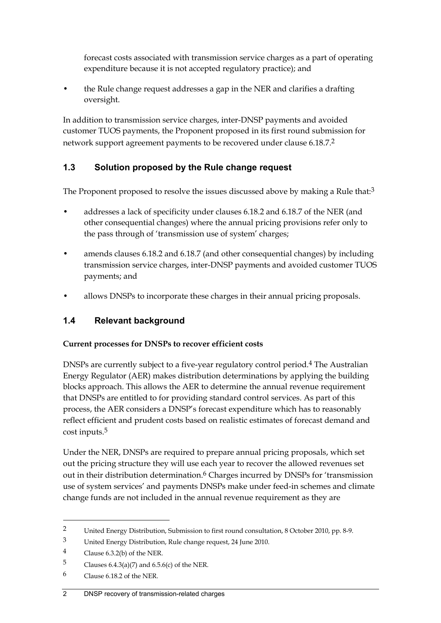forecast costs associated with transmission service charges as a part of operating expenditure because it is not accepted regulatory practice); and

• the Rule change request addresses a gap in the NER and clarifies a drafting oversight.

In addition to transmission service charges, inter-DNSP payments and avoided customer TUOS payments, the Proponent proposed in its first round submission for network support agreement payments to be recovered under clause 6.18.7.2

## **1.3 Solution proposed by the Rule change request**

The Proponent proposed to resolve the issues discussed above by making a Rule that:<sup>3</sup>

- addresses a lack of specificity under clauses 6.18.2 and 6.18.7 of the NER (and other consequential changes) where the annual pricing provisions refer only to the pass through of 'transmission use of system' charges;
- amends clauses 6.18.2 and 6.18.7 (and other consequential changes) by including transmission service charges, inter-DNSP payments and avoided customer TUOS payments; and
- allows DNSPs to incorporate these charges in their annual pricing proposals.

## **1.4 Relevant background**

#### **Current processes for DNSPs to recover efficient costs**

DNSPs are currently subject to a five-year regulatory control period.4 The Australian Energy Regulator (AER) makes distribution determinations by applying the building blocks approach. This allows the AER to determine the annual revenue requirement that DNSPs are entitled to for providing standard control services. As part of this process, the AER considers a DNSP's forecast expenditure which has to reasonably reflect efficient and prudent costs based on realistic estimates of forecast demand and cost inputs.5

Under the NER, DNSPs are required to prepare annual pricing proposals, which set out the pricing structure they will use each year to recover the allowed revenues set out in their distribution determination.6 Charges incurred by DNSPs for 'transmission use of system services' and payments DNSPs make under feed-in schemes and climate change funds are not included in the annual revenue requirement as they are

1

#### 2 DNSP recovery of transmission-related charges

<sup>2</sup> United Energy Distribution, Submission to first round consultation, 8 October 2010, pp. 8-9.

<sup>3</sup> United Energy Distribution, Rule change request, 24 June 2010.

<sup>4</sup> Clause 6.3.2(b) of the NER.

<sup>5</sup> Clauses  $6.4.3(a)(7)$  and  $6.5.6(c)$  of the NER.

<sup>6</sup> Clause 6.18.2 of the NER.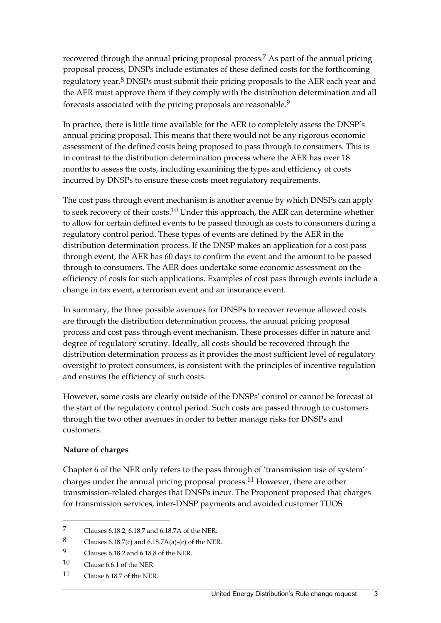recovered through the annual pricing proposal process.7 As part of the annual pricing proposal process, DNSPs include estimates of these defined costs for the forthcoming regulatory year.8 DNSPs must submit their pricing proposals to the AER each year and the AER must approve them if they comply with the distribution determination and all forecasts associated with the pricing proposals are reasonable.9

In practice, there is little time available for the AER to completely assess the DNSP's annual pricing proposal. This means that there would not be any rigorous economic assessment of the defined costs being proposed to pass through to consumers. This is in contrast to the distribution determination process where the AER has over 18 months to assess the costs, including examining the types and efficiency of costs incurred by DNSPs to ensure these costs meet regulatory requirements.

The cost pass through event mechanism is another avenue by which DNSPs can apply to seek recovery of their costs.<sup>10</sup> Under this approach, the AER can determine whether to allow for certain defined events to be passed through as costs to consumers during a regulatory control period. These types of events are defined by the AER in the distribution determination process. If the DNSP makes an application for a cost pass through event, the AER has 60 days to confirm the event and the amount to be passed through to consumers. The AER does undertake some economic assessment on the efficiency of costs for such applications. Examples of cost pass through events include a change in tax event, a terrorism event and an insurance event.

In summary, the three possible avenues for DNSPs to recover revenue allowed costs are through the distribution determination process, the annual pricing proposal process and cost pass through event mechanism. These processes differ in nature and degree of regulatory scrutiny. Ideally, all costs should be recovered through the distribution determination process as it provides the most sufficient level of regulatory oversight to protect consumers, is consistent with the principles of incentive regulation and ensures the efficiency of such costs.

However, some costs are clearly outside of the DNSPs' control or cannot be forecast at the start of the regulatory control period. Such costs are passed through to customers through the two other avenues in order to better manage risks for DNSPs and customers.

#### **Nature of charges**

1

Chapter 6 of the NER only refers to the pass through of 'transmission use of system' charges under the annual pricing proposal process.11 However, there are other transmission-related charges that DNSPs incur. The Proponent proposed that charges for transmission services, inter-DNSP payments and avoided customer TUOS

<sup>7</sup> Clauses 6.18.2, 6.18.7 and 6.18.7A of the NER.

<sup>8</sup> Clauses 6.18.7(c) and 6.18.7A(a)-(c) of the NER.

<sup>9</sup> Clauses 6.18.2 and 6.18.8 of the NER.

<sup>10</sup> Clause 6.6.1 of the NER.

<sup>11</sup> Clause 6.18.7 of the NER.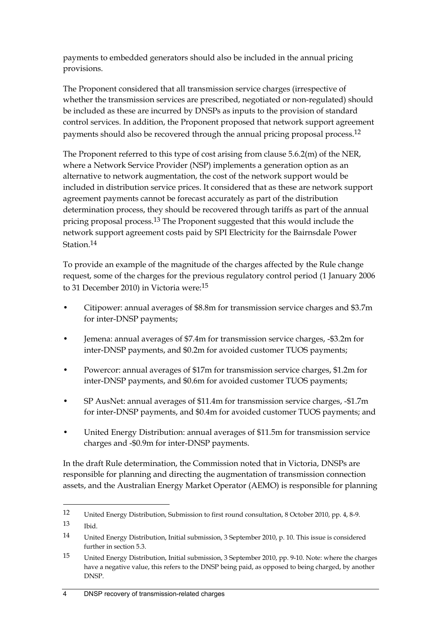payments to embedded generators should also be included in the annual pricing provisions.

The Proponent considered that all transmission service charges (irrespective of whether the transmission services are prescribed, negotiated or non-regulated) should be included as these are incurred by DNSPs as inputs to the provision of standard control services. In addition, the Proponent proposed that network support agreement payments should also be recovered through the annual pricing proposal process.12

The Proponent referred to this type of cost arising from clause 5.6.2(m) of the NER, where a Network Service Provider (NSP) implements a generation option as an alternative to network augmentation, the cost of the network support would be included in distribution service prices. It considered that as these are network support agreement payments cannot be forecast accurately as part of the distribution determination process, they should be recovered through tariffs as part of the annual pricing proposal process.13 The Proponent suggested that this would include the network support agreement costs paid by SPI Electricity for the Bairnsdale Power Station.14

To provide an example of the magnitude of the charges affected by the Rule change request, some of the charges for the previous regulatory control period (1 January 2006 to 31 December 2010) in Victoria were:15

- Citipower: annual averages of \$8.8m for transmission service charges and \$3.7m for inter-DNSP payments;
- Jemena: annual averages of \$7.4m for transmission service charges, -\$3.2m for inter-DNSP payments, and \$0.2m for avoided customer TUOS payments;
- Powercor: annual averages of \$17m for transmission service charges, \$1.2m for inter-DNSP payments, and \$0.6m for avoided customer TUOS payments;
- SP AusNet: annual averages of \$11.4m for transmission service charges, -\$1.7m for inter-DNSP payments, and \$0.4m for avoided customer TUOS payments; and
- United Energy Distribution: annual averages of \$11.5m for transmission service charges and -\$0.9m for inter-DNSP payments.

In the draft Rule determination, the Commission noted that in Victoria, DNSPs are responsible for planning and directing the augmentation of transmission connection assets, and the Australian Energy Market Operator (AEMO) is responsible for planning

<sup>12</sup> United Energy Distribution, Submission to first round consultation, 8 October 2010, pp. 4, 8-9.

<sup>13</sup> Ibid.

<sup>14</sup> United Energy Distribution, Initial submission, 3 September 2010, p. 10. This issue is considered further in section 5.3.

<sup>15</sup> United Energy Distribution, Initial submission, 3 September 2010, pp. 9-10. Note: where the charges have a negative value, this refers to the DNSP being paid, as opposed to being charged, by another DNSP.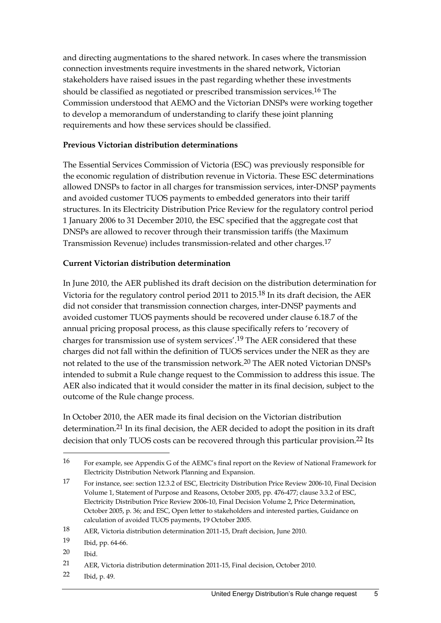and directing augmentations to the shared network. In cases where the transmission connection investments require investments in the shared network, Victorian stakeholders have raised issues in the past regarding whether these investments should be classified as negotiated or prescribed transmission services.16 The Commission understood that AEMO and the Victorian DNSPs were working together to develop a memorandum of understanding to clarify these joint planning requirements and how these services should be classified.

#### **Previous Victorian distribution determinations**

The Essential Services Commission of Victoria (ESC) was previously responsible for the economic regulation of distribution revenue in Victoria. These ESC determinations allowed DNSPs to factor in all charges for transmission services, inter-DNSP payments and avoided customer TUOS payments to embedded generators into their tariff structures. In its Electricity Distribution Price Review for the regulatory control period 1 January 2006 to 31 December 2010, the ESC specified that the aggregate cost that DNSPs are allowed to recover through their transmission tariffs (the Maximum Transmission Revenue) includes transmission-related and other charges.17

#### **Current Victorian distribution determination**

In June 2010, the AER published its draft decision on the distribution determination for Victoria for the regulatory control period 2011 to 2015.18 In its draft decision, the AER did not consider that transmission connection charges, inter-DNSP payments and avoided customer TUOS payments should be recovered under clause 6.18.7 of the annual pricing proposal process, as this clause specifically refers to 'recovery of charges for transmission use of system services'.19 The AER considered that these charges did not fall within the definition of TUOS services under the NER as they are not related to the use of the transmission network.20 The AER noted Victorian DNSPs intended to submit a Rule change request to the Commission to address this issue. The AER also indicated that it would consider the matter in its final decision, subject to the outcome of the Rule change process.

In October 2010, the AER made its final decision on the Victorian distribution determination.<sup>21</sup> In its final decision, the AER decided to adopt the position in its draft decision that only TUOS costs can be recovered through this particular provision.<sup>22</sup> Its

20 Ibid.

1

22 Ibid, p. 49.

<sup>16</sup> For example, see Appendix G of the AEMC's final report on the Review of National Framework for Electricity Distribution Network Planning and Expansion.

<sup>17</sup> For instance, see: section 12.3.2 of ESC, Electricity Distribution Price Review 2006-10, Final Decision Volume 1, Statement of Purpose and Reasons, October 2005, pp. 476-477; clause 3.3.2 of ESC, Electricity Distribution Price Review 2006-10, Final Decision Volume 2, Price Determination, October 2005, p. 36; and ESC, Open letter to stakeholders and interested parties, Guidance on calculation of avoided TUOS payments, 19 October 2005.

<sup>18</sup> AER, Victoria distribution determination 2011-15, Draft decision, June 2010.

<sup>19</sup> Ibid, pp. 64-66.

<sup>21</sup> AER, Victoria distribution determination 2011-15, Final decision, October 2010.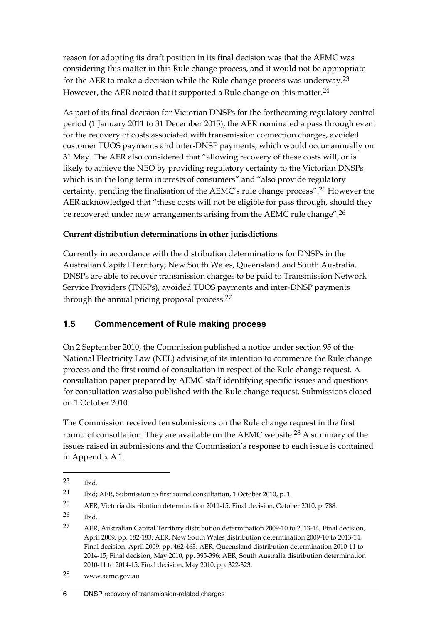reason for adopting its draft position in its final decision was that the AEMC was considering this matter in this Rule change process, and it would not be appropriate for the AER to make a decision while the Rule change process was underway.23 However, the AER noted that it supported a Rule change on this matter.<sup>24</sup>

As part of its final decision for Victorian DNSPs for the forthcoming regulatory control period (1 January 2011 to 31 December 2015), the AER nominated a pass through event for the recovery of costs associated with transmission connection charges, avoided customer TUOS payments and inter-DNSP payments, which would occur annually on 31 May. The AER also considered that "allowing recovery of these costs will, or is likely to achieve the NEO by providing regulatory certainty to the Victorian DNSPs which is in the long term interests of consumers" and "also provide regulatory certainty, pending the finalisation of the AEMC's rule change process".25 However the AER acknowledged that "these costs will not be eligible for pass through, should they be recovered under new arrangements arising from the AEMC rule change".26

#### **Current distribution determinations in other jurisdictions**

Currently in accordance with the distribution determinations for DNSPs in the Australian Capital Territory, New South Wales, Queensland and South Australia, DNSPs are able to recover transmission charges to be paid to Transmission Network Service Providers (TNSPs), avoided TUOS payments and inter-DNSP payments through the annual pricing proposal process.<sup>27</sup>

## **1.5 Commencement of Rule making process**

On 2 September 2010, the Commission published a notice under section 95 of the National Electricity Law (NEL) advising of its intention to commence the Rule change process and the first round of consultation in respect of the Rule change request. A consultation paper prepared by AEMC staff identifying specific issues and questions for consultation was also published with the Rule change request. Submissions closed on 1 October 2010.

The Commission received ten submissions on the Rule change request in the first round of consultation. They are available on the AEMC website.<sup>28</sup> A summary of the issues raised in submissions and the Commission's response to each issue is contained in Appendix A.1.

<sup>23</sup> Ibid.

<sup>24</sup> Ibid; AER, Submission to first round consultation, 1 October 2010, p. 1.

<sup>25</sup> AER, Victoria distribution determination 2011-15, Final decision, October 2010, p. 788.

 $26$  Ibid.

<sup>27</sup> AER, Australian Capital Territory distribution determination 2009-10 to 2013-14, Final decision, April 2009, pp. 182-183; AER, New South Wales distribution determination 2009-10 to 2013-14, Final decision, April 2009, pp. 462-463; AER, Queensland distribution determination 2010-11 to 2014-15, Final decision, May 2010, pp. 395-396; AER, South Australia distribution determination 2010-11 to 2014-15, Final decision, May 2010, pp. 322-323.

<sup>28</sup> www.aemc.gov.au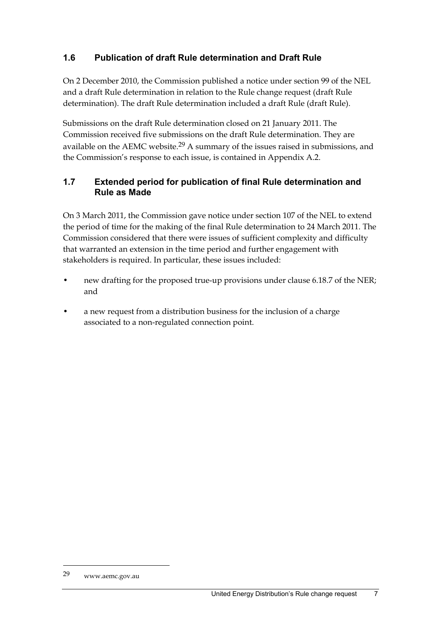## **1.6 Publication of draft Rule determination and Draft Rule**

On 2 December 2010, the Commission published a notice under section 99 of the NEL and a draft Rule determination in relation to the Rule change request (draft Rule determination). The draft Rule determination included a draft Rule (draft Rule).

Submissions on the draft Rule determination closed on 21 January 2011. The Commission received five submissions on the draft Rule determination. They are available on the AEMC website.29 A summary of the issues raised in submissions, and the Commission's response to each issue, is contained in Appendix A.2.

### **1.7 Extended period for publication of final Rule determination and Rule as Made**

On 3 March 2011, the Commission gave notice under section 107 of the NEL to extend the period of time for the making of the final Rule determination to 24 March 2011. The Commission considered that there were issues of sufficient complexity and difficulty that warranted an extension in the time period and further engagement with stakeholders is required. In particular, these issues included:

- new drafting for the proposed true-up provisions under clause 6.18.7 of the NER; and
- a new request from a distribution business for the inclusion of a charge associated to a non-regulated connection point.

<sup>29</sup> www.aemc.gov.au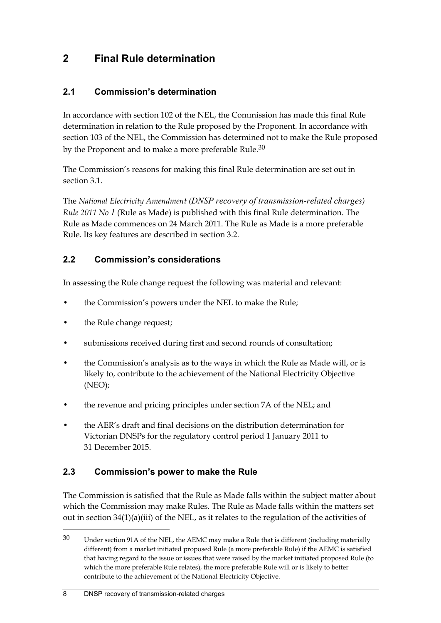## **2 Final Rule determination**

## **2.1 Commission's determination**

In accordance with section 102 of the NEL, the Commission has made this final Rule determination in relation to the Rule proposed by the Proponent. In accordance with section 103 of the NEL, the Commission has determined not to make the Rule proposed by the Proponent and to make a more preferable Rule.<sup>30</sup>

The Commission's reasons for making this final Rule determination are set out in section 3.1.

The *National Electricity Amendment (DNSP recovery of transmission-related charges) Rule 2011 No 1* (Rule as Made) is published with this final Rule determination. The Rule as Made commences on 24 March 2011. The Rule as Made is a more preferable Rule. Its key features are described in section 3.2.

### **2.2 Commission's considerations**

In assessing the Rule change request the following was material and relevant:

- the Commission's powers under the NEL to make the Rule;
- the Rule change request;
- submissions received during first and second rounds of consultation;
- the Commission's analysis as to the ways in which the Rule as Made will, or is likely to, contribute to the achievement of the National Electricity Objective (NEO);
- the revenue and pricing principles under section 7A of the NEL; and
- the AER's draft and final decisions on the distribution determination for Victorian DNSPs for the regulatory control period 1 January 2011 to 31 December 2015.

#### **2.3 Commission's power to make the Rule**

The Commission is satisfied that the Rule as Made falls within the subject matter about which the Commission may make Rules. The Rule as Made falls within the matters set out in section 34(1)(a)(iii) of the NEL, as it relates to the regulation of the activities of

<sup>30</sup> Under section 91A of the NEL, the AEMC may make a Rule that is different (including materially different) from a market initiated proposed Rule (a more preferable Rule) if the AEMC is satisfied that having regard to the issue or issues that were raised by the market initiated proposed Rule (to which the more preferable Rule relates), the more preferable Rule will or is likely to better contribute to the achievement of the National Electricity Objective.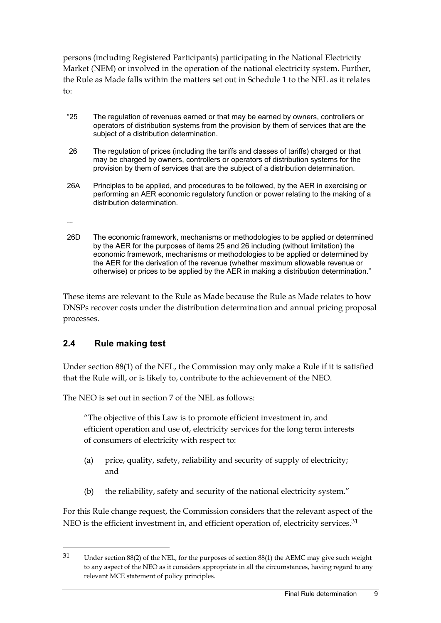persons (including Registered Participants) participating in the National Electricity Market (NEM) or involved in the operation of the national electricity system. Further, the Rule as Made falls within the matters set out in Schedule 1 to the NEL as it relates to:

- "25 The regulation of revenues earned or that may be earned by owners, controllers or operators of distribution systems from the provision by them of services that are the subject of a distribution determination.
- 26 The regulation of prices (including the tariffs and classes of tariffs) charged or that may be charged by owners, controllers or operators of distribution systems for the provision by them of services that are the subject of a distribution determination.
- 26A Principles to be applied, and procedures to be followed, by the AER in exercising or performing an AER economic regulatory function or power relating to the making of a distribution determination.

...

<u>.</u>

26D The economic framework, mechanisms or methodologies to be applied or determined by the AER for the purposes of items 25 and 26 including (without limitation) the economic framework, mechanisms or methodologies to be applied or determined by the AER for the derivation of the revenue (whether maximum allowable revenue or otherwise) or prices to be applied by the AER in making a distribution determination."

These items are relevant to the Rule as Made because the Rule as Made relates to how DNSPs recover costs under the distribution determination and annual pricing proposal processes.

## **2.4 Rule making test**

Under section 88(1) of the NEL, the Commission may only make a Rule if it is satisfied that the Rule will, or is likely to, contribute to the achievement of the NEO.

The NEO is set out in section 7 of the NEL as follows:

"The objective of this Law is to promote efficient investment in, and efficient operation and use of, electricity services for the long term interests of consumers of electricity with respect to:

- (a) price, quality, safety, reliability and security of supply of electricity; and
- (b) the reliability, safety and security of the national electricity system."

For this Rule change request, the Commission considers that the relevant aspect of the NEO is the efficient investment in, and efficient operation of, electricity services.<sup>31</sup>

<sup>31</sup> Under section 88(2) of the NEL, for the purposes of section 88(1) the AEMC may give such weight to any aspect of the NEO as it considers appropriate in all the circumstances, having regard to any relevant MCE statement of policy principles.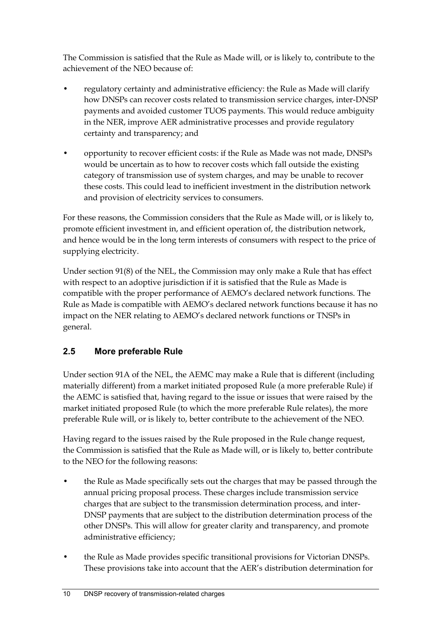The Commission is satisfied that the Rule as Made will, or is likely to, contribute to the achievement of the NEO because of:

- regulatory certainty and administrative efficiency: the Rule as Made will clarify how DNSPs can recover costs related to transmission service charges, inter-DNSP payments and avoided customer TUOS payments. This would reduce ambiguity in the NER, improve AER administrative processes and provide regulatory certainty and transparency; and
- opportunity to recover efficient costs: if the Rule as Made was not made, DNSPs would be uncertain as to how to recover costs which fall outside the existing category of transmission use of system charges, and may be unable to recover these costs. This could lead to inefficient investment in the distribution network and provision of electricity services to consumers.

For these reasons, the Commission considers that the Rule as Made will, or is likely to, promote efficient investment in, and efficient operation of, the distribution network, and hence would be in the long term interests of consumers with respect to the price of supplying electricity.

Under section 91(8) of the NEL, the Commission may only make a Rule that has effect with respect to an adoptive jurisdiction if it is satisfied that the Rule as Made is compatible with the proper performance of AEMO's declared network functions. The Rule as Made is compatible with AEMO's declared network functions because it has no impact on the NER relating to AEMO's declared network functions or TNSPs in general.

## **2.5 More preferable Rule**

Under section 91A of the NEL, the AEMC may make a Rule that is different (including materially different) from a market initiated proposed Rule (a more preferable Rule) if the AEMC is satisfied that, having regard to the issue or issues that were raised by the market initiated proposed Rule (to which the more preferable Rule relates), the more preferable Rule will, or is likely to, better contribute to the achievement of the NEO.

Having regard to the issues raised by the Rule proposed in the Rule change request, the Commission is satisfied that the Rule as Made will, or is likely to, better contribute to the NEO for the following reasons:

- the Rule as Made specifically sets out the charges that may be passed through the annual pricing proposal process. These charges include transmission service charges that are subject to the transmission determination process, and inter-DNSP payments that are subject to the distribution determination process of the other DNSPs. This will allow for greater clarity and transparency, and promote administrative efficiency;
- the Rule as Made provides specific transitional provisions for Victorian DNSPs. These provisions take into account that the AER's distribution determination for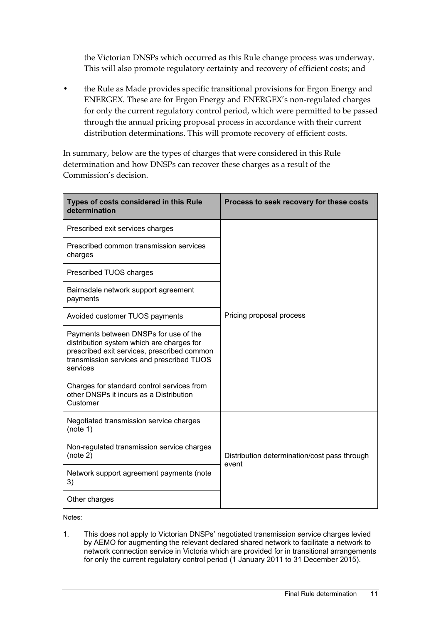the Victorian DNSPs which occurred as this Rule change process was underway. This will also promote regulatory certainty and recovery of efficient costs; and

• the Rule as Made provides specific transitional provisions for Ergon Energy and ENERGEX. These are for Ergon Energy and ENERGEX's non-regulated charges for only the current regulatory control period, which were permitted to be passed through the annual pricing proposal process in accordance with their current distribution determinations. This will promote recovery of efficient costs.

In summary, below are the types of charges that were considered in this Rule determination and how DNSPs can recover these charges as a result of the Commission's decision.

| Types of costs considered in this Rule<br>determination                                                                                                                                    | Process to seek recovery for these costs     |
|--------------------------------------------------------------------------------------------------------------------------------------------------------------------------------------------|----------------------------------------------|
| Prescribed exit services charges                                                                                                                                                           |                                              |
| Prescribed common transmission services<br>charges                                                                                                                                         |                                              |
| Prescribed TUOS charges                                                                                                                                                                    |                                              |
| Bairnsdale network support agreement<br>payments                                                                                                                                           |                                              |
| Avoided customer TUOS payments                                                                                                                                                             | Pricing proposal process                     |
| Payments between DNSPs for use of the<br>distribution system which are charges for<br>prescribed exit services, prescribed common<br>transmission services and prescribed TUOS<br>services |                                              |
| Charges for standard control services from<br>other DNSPs it incurs as a Distribution<br>Customer                                                                                          |                                              |
| Negotiated transmission service charges<br>(note 1)                                                                                                                                        |                                              |
| Non-regulated transmission service charges<br>(note 2)                                                                                                                                     | Distribution determination/cost pass through |
| Network support agreement payments (note<br>3)                                                                                                                                             | event                                        |
| Other charges                                                                                                                                                                              |                                              |

Notes:

1. This does not apply to Victorian DNSPs' negotiated transmission service charges levied by AEMO for augmenting the relevant declared shared network to facilitate a network to network connection service in Victoria which are provided for in transitional arrangements for only the current regulatory control period (1 January 2011 to 31 December 2015).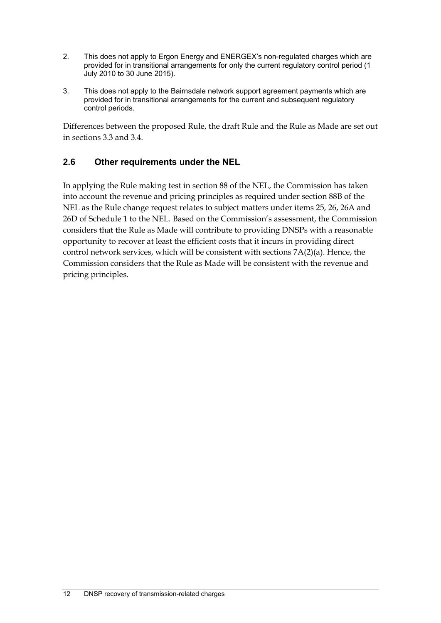- 2. This does not apply to Ergon Energy and ENERGEX's non-regulated charges which are provided for in transitional arrangements for only the current regulatory control period (1 July 2010 to 30 June 2015).
- 3. This does not apply to the Bairnsdale network support agreement payments which are provided for in transitional arrangements for the current and subsequent regulatory control periods.

Differences between the proposed Rule, the draft Rule and the Rule as Made are set out in sections 3.3 and 3.4.

## **2.6 Other requirements under the NEL**

In applying the Rule making test in section 88 of the NEL, the Commission has taken into account the revenue and pricing principles as required under section 88B of the NEL as the Rule change request relates to subject matters under items 25, 26, 26A and 26D of Schedule 1 to the NEL. Based on the Commission's assessment, the Commission considers that the Rule as Made will contribute to providing DNSPs with a reasonable opportunity to recover at least the efficient costs that it incurs in providing direct control network services, which will be consistent with sections 7A(2)(a). Hence, the Commission considers that the Rule as Made will be consistent with the revenue and pricing principles.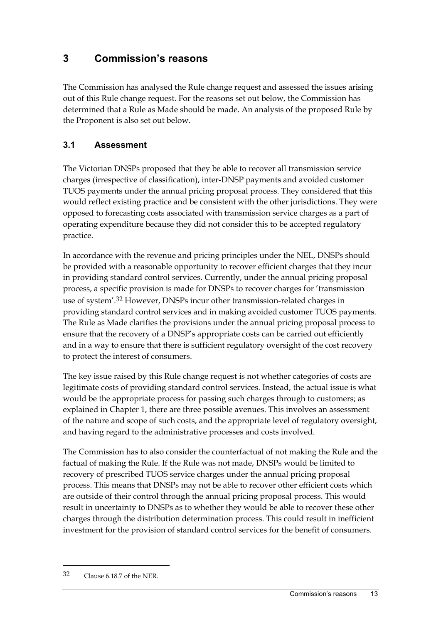## **3 Commission's reasons**

The Commission has analysed the Rule change request and assessed the issues arising out of this Rule change request. For the reasons set out below, the Commission has determined that a Rule as Made should be made. An analysis of the proposed Rule by the Proponent is also set out below.

## **3.1 Assessment**

The Victorian DNSPs proposed that they be able to recover all transmission service charges (irrespective of classification), inter-DNSP payments and avoided customer TUOS payments under the annual pricing proposal process. They considered that this would reflect existing practice and be consistent with the other jurisdictions. They were opposed to forecasting costs associated with transmission service charges as a part of operating expenditure because they did not consider this to be accepted regulatory practice.

In accordance with the revenue and pricing principles under the NEL, DNSPs should be provided with a reasonable opportunity to recover efficient charges that they incur in providing standard control services. Currently, under the annual pricing proposal process, a specific provision is made for DNSPs to recover charges for 'transmission use of system'.32 However, DNSPs incur other transmission-related charges in providing standard control services and in making avoided customer TUOS payments. The Rule as Made clarifies the provisions under the annual pricing proposal process to ensure that the recovery of a DNSP's appropriate costs can be carried out efficiently and in a way to ensure that there is sufficient regulatory oversight of the cost recovery to protect the interest of consumers.

The key issue raised by this Rule change request is not whether categories of costs are legitimate costs of providing standard control services. Instead, the actual issue is what would be the appropriate process for passing such charges through to customers; as explained in Chapter 1, there are three possible avenues. This involves an assessment of the nature and scope of such costs, and the appropriate level of regulatory oversight, and having regard to the administrative processes and costs involved.

The Commission has to also consider the counterfactual of not making the Rule and the factual of making the Rule. If the Rule was not made, DNSPs would be limited to recovery of prescribed TUOS service charges under the annual pricing proposal process. This means that DNSPs may not be able to recover other efficient costs which are outside of their control through the annual pricing proposal process. This would result in uncertainty to DNSPs as to whether they would be able to recover these other charges through the distribution determination process. This could result in inefficient investment for the provision of standard control services for the benefit of consumers.

<sup>32</sup> Clause 6.18.7 of the NER.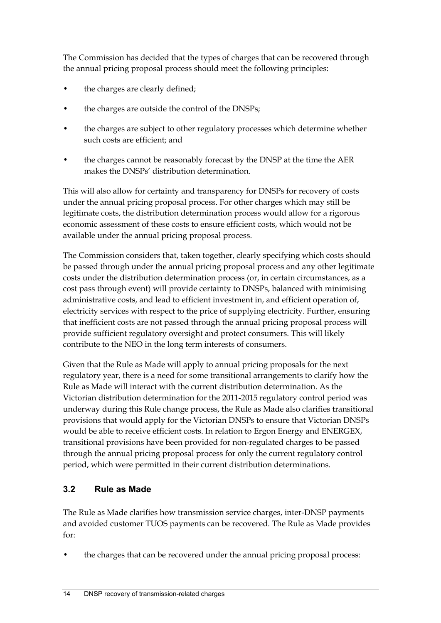The Commission has decided that the types of charges that can be recovered through the annual pricing proposal process should meet the following principles:

- the charges are clearly defined;
- the charges are outside the control of the DNSPs;
- the charges are subject to other regulatory processes which determine whether such costs are efficient; and
- the charges cannot be reasonably forecast by the DNSP at the time the AER makes the DNSPs' distribution determination.

This will also allow for certainty and transparency for DNSPs for recovery of costs under the annual pricing proposal process. For other charges which may still be legitimate costs, the distribution determination process would allow for a rigorous economic assessment of these costs to ensure efficient costs, which would not be available under the annual pricing proposal process.

The Commission considers that, taken together, clearly specifying which costs should be passed through under the annual pricing proposal process and any other legitimate costs under the distribution determination process (or, in certain circumstances, as a cost pass through event) will provide certainty to DNSPs, balanced with minimising administrative costs, and lead to efficient investment in, and efficient operation of, electricity services with respect to the price of supplying electricity. Further, ensuring that inefficient costs are not passed through the annual pricing proposal process will provide sufficient regulatory oversight and protect consumers. This will likely contribute to the NEO in the long term interests of consumers.

Given that the Rule as Made will apply to annual pricing proposals for the next regulatory year, there is a need for some transitional arrangements to clarify how the Rule as Made will interact with the current distribution determination. As the Victorian distribution determination for the 2011-2015 regulatory control period was underway during this Rule change process, the Rule as Made also clarifies transitional provisions that would apply for the Victorian DNSPs to ensure that Victorian DNSPs would be able to receive efficient costs. In relation to Ergon Energy and ENERGEX, transitional provisions have been provided for non-regulated charges to be passed through the annual pricing proposal process for only the current regulatory control period, which were permitted in their current distribution determinations.

## **3.2 Rule as Made**

The Rule as Made clarifies how transmission service charges, inter-DNSP payments and avoided customer TUOS payments can be recovered. The Rule as Made provides for:

the charges that can be recovered under the annual pricing proposal process: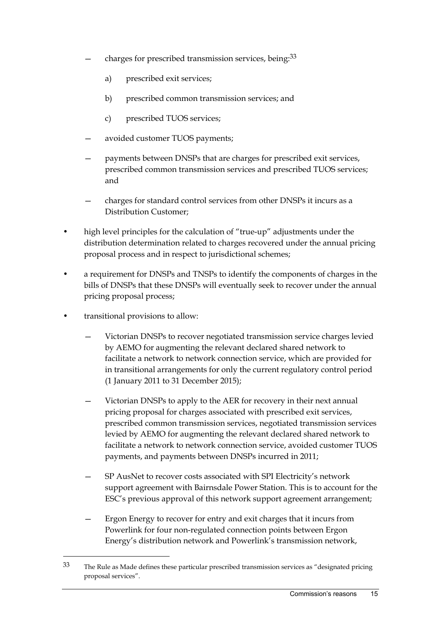- charges for prescribed transmission services, being:<sup>33</sup>
	- a) prescribed exit services;
	- b) prescribed common transmission services; and
	- c) prescribed TUOS services;
- avoided customer TUOS payments;
- payments between DNSPs that are charges for prescribed exit services, prescribed common transmission services and prescribed TUOS services; and
- charges for standard control services from other DNSPs it incurs as a Distribution Customer;
- high level principles for the calculation of "true-up" adjustments under the distribution determination related to charges recovered under the annual pricing proposal process and in respect to jurisdictional schemes;
- a requirement for DNSPs and TNSPs to identify the components of charges in the bills of DNSPs that these DNSPs will eventually seek to recover under the annual pricing proposal process;
- transitional provisions to allow:

- Victorian DNSPs to recover negotiated transmission service charges levied by AEMO for augmenting the relevant declared shared network to facilitate a network to network connection service, which are provided for in transitional arrangements for only the current regulatory control period (1 January 2011 to 31 December 2015);
- Victorian DNSPs to apply to the AER for recovery in their next annual pricing proposal for charges associated with prescribed exit services, prescribed common transmission services, negotiated transmission services levied by AEMO for augmenting the relevant declared shared network to facilitate a network to network connection service, avoided customer TUOS payments, and payments between DNSPs incurred in 2011;
- SP AusNet to recover costs associated with SPI Electricity's network support agreement with Bairnsdale Power Station. This is to account for the ESC's previous approval of this network support agreement arrangement;
- Ergon Energy to recover for entry and exit charges that it incurs from Powerlink for four non-regulated connection points between Ergon Energy's distribution network and Powerlink's transmission network,

<sup>33</sup> The Rule as Made defines these particular prescribed transmission services as "designated pricing proposal services".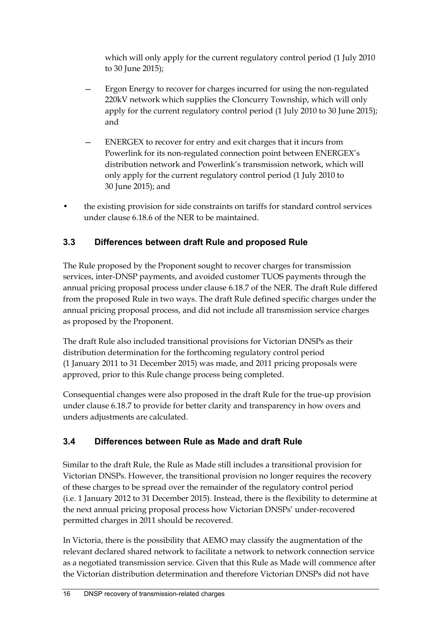which will only apply for the current regulatory control period (1 July 2010 to 30 June 2015);

- Ergon Energy to recover for charges incurred for using the non-regulated 220kV network which supplies the Cloncurry Township, which will only apply for the current regulatory control period (1 July 2010 to 30 June 2015); and
- ENERGEX to recover for entry and exit charges that it incurs from Powerlink for its non-regulated connection point between ENERGEX's distribution network and Powerlink's transmission network, which will only apply for the current regulatory control period (1 July 2010 to 30 June 2015); and
- the existing provision for side constraints on tariffs for standard control services under clause 6.18.6 of the NER to be maintained.

## **3.3 Differences between draft Rule and proposed Rule**

The Rule proposed by the Proponent sought to recover charges for transmission services, inter-DNSP payments, and avoided customer TUOS payments through the annual pricing proposal process under clause 6.18.7 of the NER. The draft Rule differed from the proposed Rule in two ways. The draft Rule defined specific charges under the annual pricing proposal process, and did not include all transmission service charges as proposed by the Proponent.

The draft Rule also included transitional provisions for Victorian DNSPs as their distribution determination for the forthcoming regulatory control period (1 January 2011 to 31 December 2015) was made, and 2011 pricing proposals were approved, prior to this Rule change process being completed.

Consequential changes were also proposed in the draft Rule for the true-up provision under clause 6.18.7 to provide for better clarity and transparency in how overs and unders adjustments are calculated.

## **3.4 Differences between Rule as Made and draft Rule**

Similar to the draft Rule, the Rule as Made still includes a transitional provision for Victorian DNSPs. However, the transitional provision no longer requires the recovery of these charges to be spread over the remainder of the regulatory control period (i.e. 1 January 2012 to 31 December 2015). Instead, there is the flexibility to determine at the next annual pricing proposal process how Victorian DNSPs' under-recovered permitted charges in 2011 should be recovered.

In Victoria, there is the possibility that AEMO may classify the augmentation of the relevant declared shared network to facilitate a network to network connection service as a negotiated transmission service. Given that this Rule as Made will commence after the Victorian distribution determination and therefore Victorian DNSPs did not have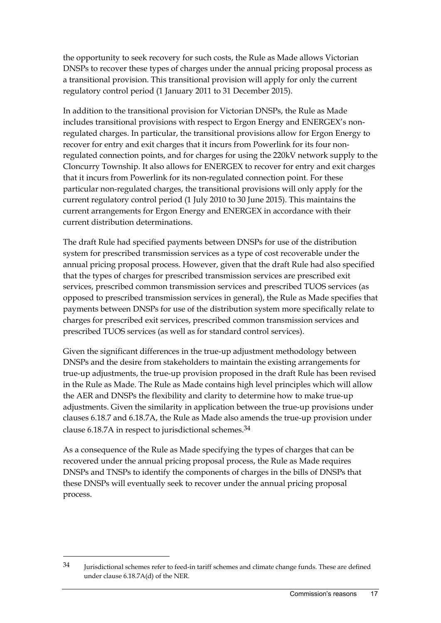the opportunity to seek recovery for such costs, the Rule as Made allows Victorian DNSPs to recover these types of charges under the annual pricing proposal process as a transitional provision. This transitional provision will apply for only the current regulatory control period (1 January 2011 to 31 December 2015).

In addition to the transitional provision for Victorian DNSPs, the Rule as Made includes transitional provisions with respect to Ergon Energy and ENERGEX's nonregulated charges. In particular, the transitional provisions allow for Ergon Energy to recover for entry and exit charges that it incurs from Powerlink for its four nonregulated connection points, and for charges for using the 220kV network supply to the Cloncurry Township. It also allows for ENERGEX to recover for entry and exit charges that it incurs from Powerlink for its non-regulated connection point. For these particular non-regulated charges, the transitional provisions will only apply for the current regulatory control period (1 July 2010 to 30 June 2015). This maintains the current arrangements for Ergon Energy and ENERGEX in accordance with their current distribution determinations.

The draft Rule had specified payments between DNSPs for use of the distribution system for prescribed transmission services as a type of cost recoverable under the annual pricing proposal process. However, given that the draft Rule had also specified that the types of charges for prescribed transmission services are prescribed exit services, prescribed common transmission services and prescribed TUOS services (as opposed to prescribed transmission services in general), the Rule as Made specifies that payments between DNSPs for use of the distribution system more specifically relate to charges for prescribed exit services, prescribed common transmission services and prescribed TUOS services (as well as for standard control services).

Given the significant differences in the true-up adjustment methodology between DNSPs and the desire from stakeholders to maintain the existing arrangements for true-up adjustments, the true-up provision proposed in the draft Rule has been revised in the Rule as Made. The Rule as Made contains high level principles which will allow the AER and DNSPs the flexibility and clarity to determine how to make true-up adjustments. Given the similarity in application between the true-up provisions under clauses 6.18.7 and 6.18.7A, the Rule as Made also amends the true-up provision under clause 6.18.7A in respect to jurisdictional schemes. $34$ 

As a consequence of the Rule as Made specifying the types of charges that can be recovered under the annual pricing proposal process, the Rule as Made requires DNSPs and TNSPs to identify the components of charges in the bills of DNSPs that these DNSPs will eventually seek to recover under the annual pricing proposal process.

<sup>34</sup> Jurisdictional schemes refer to feed-in tariff schemes and climate change funds. These are defined under clause 6.18.7A(d) of the NER.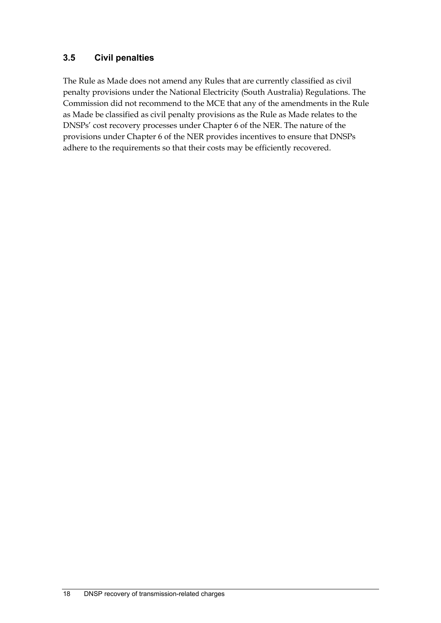## **3.5 Civil penalties**

The Rule as Made does not amend any Rules that are currently classified as civil penalty provisions under the National Electricity (South Australia) Regulations. The Commission did not recommend to the MCE that any of the amendments in the Rule as Made be classified as civil penalty provisions as the Rule as Made relates to the DNSPs' cost recovery processes under Chapter 6 of the NER. The nature of the provisions under Chapter 6 of the NER provides incentives to ensure that DNSPs adhere to the requirements so that their costs may be efficiently recovered.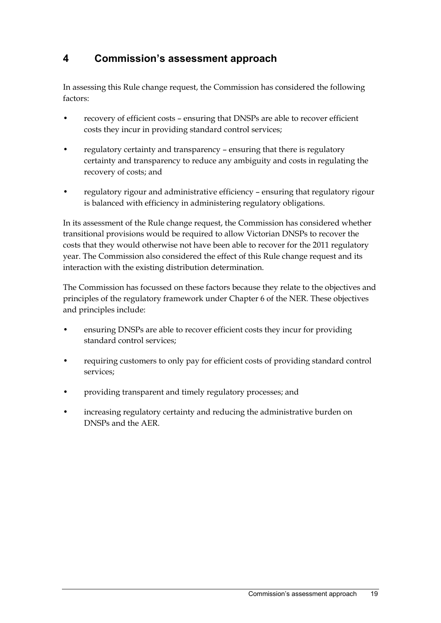## **4 Commission's assessment approach**

In assessing this Rule change request, the Commission has considered the following factors:

- recovery of efficient costs ensuring that DNSPs are able to recover efficient costs they incur in providing standard control services;
- regulatory certainty and transparency ensuring that there is regulatory certainty and transparency to reduce any ambiguity and costs in regulating the recovery of costs; and
- regulatory rigour and administrative efficiency ensuring that regulatory rigour is balanced with efficiency in administering regulatory obligations.

In its assessment of the Rule change request, the Commission has considered whether transitional provisions would be required to allow Victorian DNSPs to recover the costs that they would otherwise not have been able to recover for the 2011 regulatory year. The Commission also considered the effect of this Rule change request and its interaction with the existing distribution determination.

The Commission has focussed on these factors because they relate to the objectives and principles of the regulatory framework under Chapter 6 of the NER. These objectives and principles include:

- ensuring DNSPs are able to recover efficient costs they incur for providing standard control services;
- requiring customers to only pay for efficient costs of providing standard control services;
- providing transparent and timely regulatory processes; and
- increasing regulatory certainty and reducing the administrative burden on DNSPs and the AER.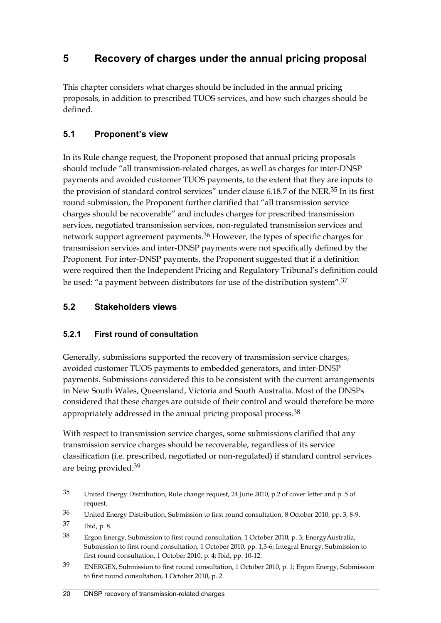## **5 Recovery of charges under the annual pricing proposal**

This chapter considers what charges should be included in the annual pricing proposals, in addition to prescribed TUOS services, and how such charges should be defined.

## **5.1 Proponent's view**

In its Rule change request, the Proponent proposed that annual pricing proposals should include "all transmission-related charges, as well as charges for inter-DNSP payments and avoided customer TUOS payments, to the extent that they are inputs to the provision of standard control services" under clause 6.18.7 of the NER.<sup>35</sup> In its first round submission, the Proponent further clarified that "all transmission service charges should be recoverable" and includes charges for prescribed transmission services, negotiated transmission services, non-regulated transmission services and network support agreement payments.36 However, the types of specific charges for transmission services and inter-DNSP payments were not specifically defined by the Proponent. For inter-DNSP payments, the Proponent suggested that if a definition were required then the Independent Pricing and Regulatory Tribunal's definition could be used: "a payment between distributors for use of the distribution system".37

## **5.2 Stakeholders views**

## **5.2.1 First round of consultation**

Generally, submissions supported the recovery of transmission service charges, avoided customer TUOS payments to embedded generators, and inter-DNSP payments. Submissions considered this to be consistent with the current arrangements in New South Wales, Queensland, Victoria and South Australia. Most of the DNSPs considered that these charges are outside of their control and would therefore be more appropriately addressed in the annual pricing proposal process.<sup>38</sup>

With respect to transmission service charges, some submissions clarified that any transmission service charges should be recoverable, regardless of its service classification (i.e. prescribed, negotiated or non-regulated) if standard control services are being provided.39

<sup>35</sup> United Energy Distribution, Rule change request, 24 June 2010, p.2 of cover letter and p. 5 of request.

<sup>36</sup> United Energy Distribution, Submission to first round consultation, 8 October 2010, pp. 3, 8-9.

<sup>37</sup> Ibid, p. 8.

<sup>38</sup> Ergon Energy, Submission to first round consultation, 1 October 2010, p. 3; EnergyAustralia, Submission to first round consultation, 1 October 2010, pp. 1,3-6; Integral Energy, Submission to first round consultation, 1 October 2010, p. 4; Ibid, pp. 10-12.

<sup>39</sup> ENERGEX, Submission to first round consultation, 1 October 2010, p. 1; Ergon Energy, Submission to first round consultation, 1 October 2010, p. 2.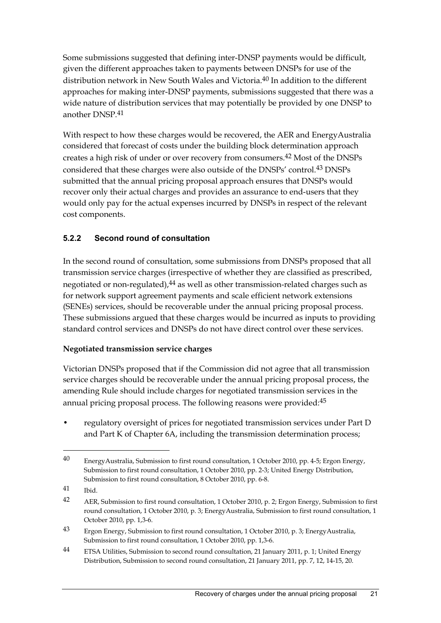Some submissions suggested that defining inter-DNSP payments would be difficult, given the different approaches taken to payments between DNSPs for use of the distribution network in New South Wales and Victoria.<sup>40</sup> In addition to the different approaches for making inter-DNSP payments, submissions suggested that there was a wide nature of distribution services that may potentially be provided by one DNSP to another DNSP 41

With respect to how these charges would be recovered, the AER and EnergyAustralia considered that forecast of costs under the building block determination approach creates a high risk of under or over recovery from consumers.42 Most of the DNSPs considered that these charges were also outside of the DNSPs' control.43 DNSPs submitted that the annual pricing proposal approach ensures that DNSPs would recover only their actual charges and provides an assurance to end-users that they would only pay for the actual expenses incurred by DNSPs in respect of the relevant cost components.

### **5.2.2 Second round of consultation**

In the second round of consultation, some submissions from DNSPs proposed that all transmission service charges (irrespective of whether they are classified as prescribed, negotiated or non-regulated), $44$  as well as other transmission-related charges such as for network support agreement payments and scale efficient network extensions (SENEs) services, should be recoverable under the annual pricing proposal process. These submissions argued that these charges would be incurred as inputs to providing standard control services and DNSPs do not have direct control over these services.

#### **Negotiated transmission service charges**

Victorian DNSPs proposed that if the Commission did not agree that all transmission service charges should be recoverable under the annual pricing proposal process, the amending Rule should include charges for negotiated transmission services in the annual pricing proposal process. The following reasons were provided: 45

• regulatory oversight of prices for negotiated transmission services under Part D and Part K of Chapter 6A, including the transmission determination process;

41 Ibid.

<sup>40</sup> EnergyAustralia, Submission to first round consultation, 1 October 2010, pp. 4-5; Ergon Energy, Submission to first round consultation, 1 October 2010, pp. 2-3; United Energy Distribution, Submission to first round consultation, 8 October 2010, pp. 6-8.

<sup>42</sup> AER, Submission to first round consultation, 1 October 2010, p. 2; Ergon Energy, Submission to first round consultation, 1 October 2010, p. 3; EnergyAustralia, Submission to first round consultation, 1 October 2010, pp. 1,3-6.

<sup>43</sup> Ergon Energy, Submission to first round consultation, 1 October 2010, p. 3; EnergyAustralia, Submission to first round consultation, 1 October 2010, pp. 1,3-6.

<sup>&</sup>lt;sup>44</sup> ETSA Utilities, Submission to second round consultation, 21 January 2011, p. 1; United Energy Distribution, Submission to second round consultation, 21 January 2011, pp. 7, 12, 14-15, 20.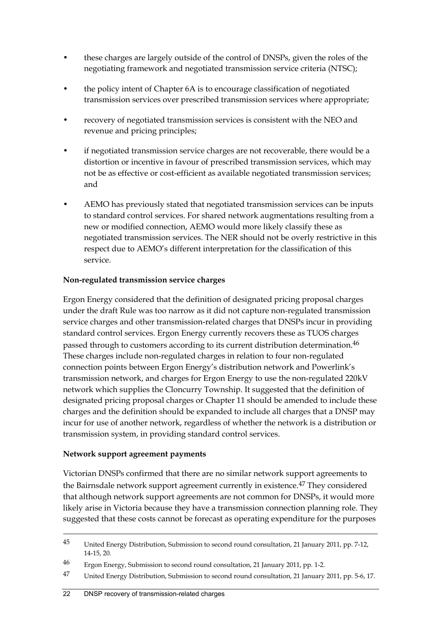- these charges are largely outside of the control of DNSPs, given the roles of the negotiating framework and negotiated transmission service criteria (NTSC);
- the policy intent of Chapter 6A is to encourage classification of negotiated transmission services over prescribed transmission services where appropriate;
- recovery of negotiated transmission services is consistent with the NEO and revenue and pricing principles;
- if negotiated transmission service charges are not recoverable, there would be a distortion or incentive in favour of prescribed transmission services, which may not be as effective or cost-efficient as available negotiated transmission services; and
- AEMO has previously stated that negotiated transmission services can be inputs to standard control services. For shared network augmentations resulting from a new or modified connection, AEMO would more likely classify these as negotiated transmission services. The NER should not be overly restrictive in this respect due to AEMO's different interpretation for the classification of this service.

#### **Non-regulated transmission service charges**

Ergon Energy considered that the definition of designated pricing proposal charges under the draft Rule was too narrow as it did not capture non-regulated transmission service charges and other transmission-related charges that DNSPs incur in providing standard control services. Ergon Energy currently recovers these as TUOS charges passed through to customers according to its current distribution determination.46 These charges include non-regulated charges in relation to four non-regulated connection points between Ergon Energy's distribution network and Powerlink's transmission network, and charges for Ergon Energy to use the non-regulated 220kV network which supplies the Cloncurry Township. It suggested that the definition of designated pricing proposal charges or Chapter 11 should be amended to include these charges and the definition should be expanded to include all charges that a DNSP may incur for use of another network, regardless of whether the network is a distribution or transmission system, in providing standard control services.

#### **Network support agreement payments**

1

Victorian DNSPs confirmed that there are no similar network support agreements to the Bairnsdale network support agreement currently in existence.<sup>47</sup> They considered that although network support agreements are not common for DNSPs, it would more likely arise in Victoria because they have a transmission connection planning role. They suggested that these costs cannot be forecast as operating expenditure for the purposes

<sup>45</sup> United Energy Distribution, Submission to second round consultation, 21 January 2011, pp. 7-12, 14-15, 20.

<sup>46</sup> Ergon Energy, Submission to second round consultation, 21 January 2011, pp. 1-2.

<sup>47</sup> United Energy Distribution, Submission to second round consultation, 21 January 2011, pp. 5-6, 17.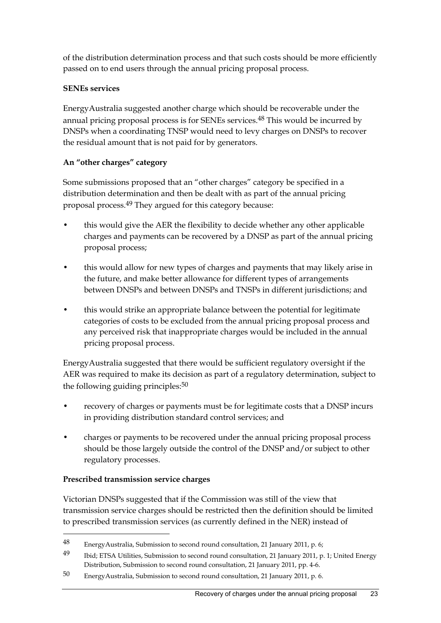of the distribution determination process and that such costs should be more efficiently passed on to end users through the annual pricing proposal process.

#### **SENEs services**

EnergyAustralia suggested another charge which should be recoverable under the annual pricing proposal process is for SENEs services.<sup>48</sup> This would be incurred by DNSPs when a coordinating TNSP would need to levy charges on DNSPs to recover the residual amount that is not paid for by generators.

## **An "other charges" category**

Some submissions proposed that an "other charges" category be specified in a distribution determination and then be dealt with as part of the annual pricing proposal process.<sup>49</sup> They argued for this category because:

- this would give the AER the flexibility to decide whether any other applicable charges and payments can be recovered by a DNSP as part of the annual pricing proposal process;
- this would allow for new types of charges and payments that may likely arise in the future, and make better allowance for different types of arrangements between DNSPs and between DNSPs and TNSPs in different jurisdictions; and
- this would strike an appropriate balance between the potential for legitimate categories of costs to be excluded from the annual pricing proposal process and any perceived risk that inappropriate charges would be included in the annual pricing proposal process.

EnergyAustralia suggested that there would be sufficient regulatory oversight if the AER was required to make its decision as part of a regulatory determination, subject to the following guiding principles: $50$ 

- recovery of charges or payments must be for legitimate costs that a DNSP incurs in providing distribution standard control services; and
- charges or payments to be recovered under the annual pricing proposal process should be those largely outside the control of the DNSP and/or subject to other regulatory processes.

#### **Prescribed transmission service charges**

1

Victorian DNSPs suggested that if the Commission was still of the view that transmission service charges should be restricted then the definition should be limited to prescribed transmission services (as currently defined in the NER) instead of

<sup>48</sup> EnergyAustralia, Submission to second round consultation, 21 January 2011, p. 6;

<sup>49</sup> Ibid; ETSA Utilities, Submission to second round consultation, 21 January 2011, p. 1; United Energy Distribution, Submission to second round consultation, 21 January 2011, pp. 4-6.

<sup>50</sup> EnergyAustralia, Submission to second round consultation, 21 January 2011, p. 6.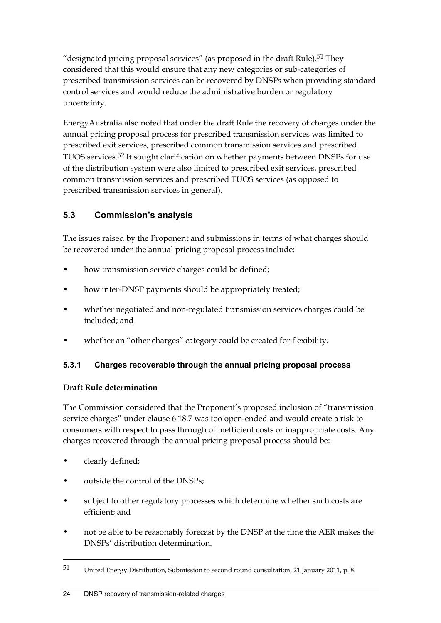"designated pricing proposal services" (as proposed in the draft Rule).<sup>51</sup> They considered that this would ensure that any new categories or sub-categories of prescribed transmission services can be recovered by DNSPs when providing standard control services and would reduce the administrative burden or regulatory uncertainty.

EnergyAustralia also noted that under the draft Rule the recovery of charges under the annual pricing proposal process for prescribed transmission services was limited to prescribed exit services, prescribed common transmission services and prescribed TUOS services.52 It sought clarification on whether payments between DNSPs for use of the distribution system were also limited to prescribed exit services, prescribed common transmission services and prescribed TUOS services (as opposed to prescribed transmission services in general).

## **5.3 Commission's analysis**

The issues raised by the Proponent and submissions in terms of what charges should be recovered under the annual pricing proposal process include:

- how transmission service charges could be defined;
- how inter-DNSP payments should be appropriately treated;
- whether negotiated and non-regulated transmission services charges could be included; and
- whether an "other charges" category could be created for flexibility.

#### **5.3.1 Charges recoverable through the annual pricing proposal process**

#### **Draft Rule determination**

The Commission considered that the Proponent's proposed inclusion of "transmission service charges" under clause 6.18.7 was too open-ended and would create a risk to consumers with respect to pass through of inefficient costs or inappropriate costs. Any charges recovered through the annual pricing proposal process should be:

• clearly defined;

- outside the control of the DNSPs;
- subject to other regulatory processes which determine whether such costs are efficient; and
- not be able to be reasonably forecast by the DNSP at the time the AER makes the DNSPs' distribution determination.

<sup>51</sup> United Energy Distribution, Submission to second round consultation, 21 January 2011, p. 8.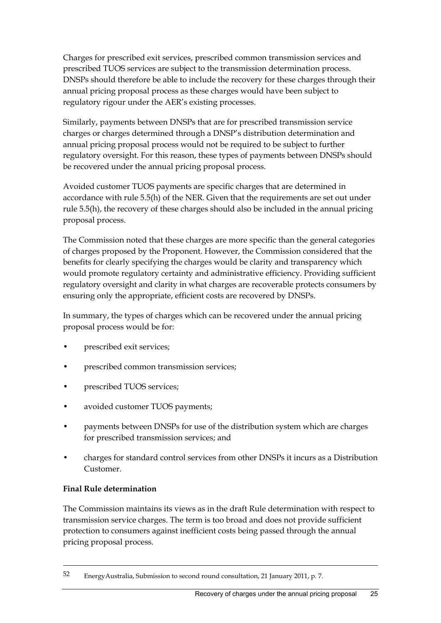Charges for prescribed exit services, prescribed common transmission services and prescribed TUOS services are subject to the transmission determination process. DNSPs should therefore be able to include the recovery for these charges through their annual pricing proposal process as these charges would have been subject to regulatory rigour under the AER's existing processes.

Similarly, payments between DNSPs that are for prescribed transmission service charges or charges determined through a DNSP's distribution determination and annual pricing proposal process would not be required to be subject to further regulatory oversight. For this reason, these types of payments between DNSPs should be recovered under the annual pricing proposal process.

Avoided customer TUOS payments are specific charges that are determined in accordance with rule 5.5(h) of the NER. Given that the requirements are set out under rule 5.5(h), the recovery of these charges should also be included in the annual pricing proposal process.

The Commission noted that these charges are more specific than the general categories of charges proposed by the Proponent. However, the Commission considered that the benefits for clearly specifying the charges would be clarity and transparency which would promote regulatory certainty and administrative efficiency. Providing sufficient regulatory oversight and clarity in what charges are recoverable protects consumers by ensuring only the appropriate, efficient costs are recovered by DNSPs.

In summary, the types of charges which can be recovered under the annual pricing proposal process would be for:

- prescribed exit services;
- prescribed common transmission services;
- prescribed TUOS services;
- avoided customer TUOS payments;
- payments between DNSPs for use of the distribution system which are charges for prescribed transmission services; and
- charges for standard control services from other DNSPs it incurs as a Distribution Customer.

#### **Final Rule determination**

1

The Commission maintains its views as in the draft Rule determination with respect to transmission service charges. The term is too broad and does not provide sufficient protection to consumers against inefficient costs being passed through the annual pricing proposal process.

<sup>52</sup> EnergyAustralia, Submission to second round consultation, 21 January 2011, p. 7.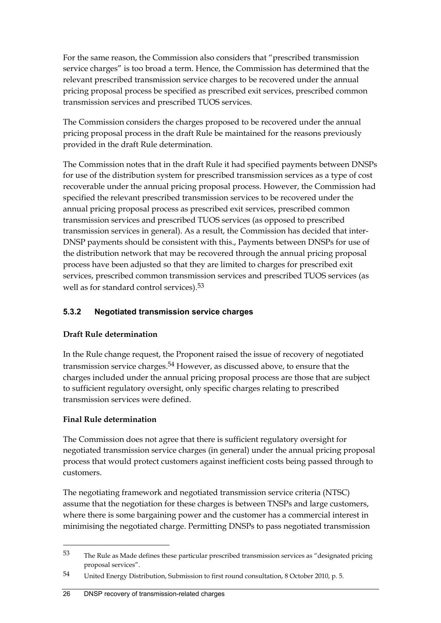For the same reason, the Commission also considers that "prescribed transmission service charges" is too broad a term. Hence, the Commission has determined that the relevant prescribed transmission service charges to be recovered under the annual pricing proposal process be specified as prescribed exit services, prescribed common transmission services and prescribed TUOS services.

The Commission considers the charges proposed to be recovered under the annual pricing proposal process in the draft Rule be maintained for the reasons previously provided in the draft Rule determination.

The Commission notes that in the draft Rule it had specified payments between DNSPs for use of the distribution system for prescribed transmission services as a type of cost recoverable under the annual pricing proposal process. However, the Commission had specified the relevant prescribed transmission services to be recovered under the annual pricing proposal process as prescribed exit services, prescribed common transmission services and prescribed TUOS services (as opposed to prescribed transmission services in general). As a result, the Commission has decided that inter-DNSP payments should be consistent with this., Payments between DNSPs for use of the distribution network that may be recovered through the annual pricing proposal process have been adjusted so that they are limited to charges for prescribed exit services, prescribed common transmission services and prescribed TUOS services (as well as for standard control services).<sup>53</sup>

## **5.3.2 Negotiated transmission service charges**

#### **Draft Rule determination**

In the Rule change request, the Proponent raised the issue of recovery of negotiated transmission service charges.<sup>54</sup> However, as discussed above, to ensure that the charges included under the annual pricing proposal process are those that are subject to sufficient regulatory oversight, only specific charges relating to prescribed transmission services were defined.

#### **Final Rule determination**

<u>.</u>

The Commission does not agree that there is sufficient regulatory oversight for negotiated transmission service charges (in general) under the annual pricing proposal process that would protect customers against inefficient costs being passed through to customers.

The negotiating framework and negotiated transmission service criteria (NTSC) assume that the negotiation for these charges is between TNSPs and large customers, where there is some bargaining power and the customer has a commercial interest in minimising the negotiated charge. Permitting DNSPs to pass negotiated transmission

 $53$  The Rule as Made defines these particular prescribed transmission services as "designated pricing proposal services".

<sup>54</sup> United Energy Distribution, Submission to first round consultation, 8 October 2010, p. 5.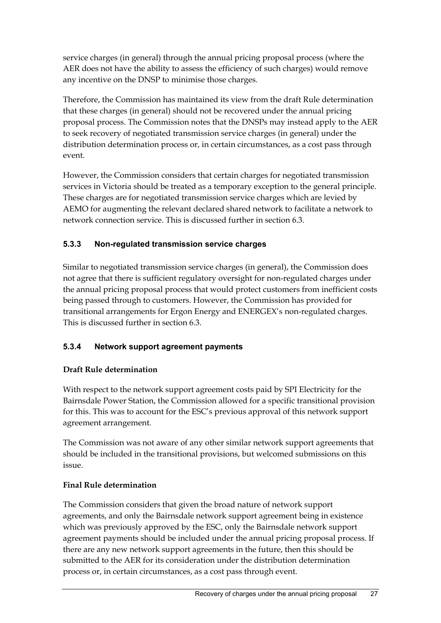service charges (in general) through the annual pricing proposal process (where the AER does not have the ability to assess the efficiency of such charges) would remove any incentive on the DNSP to minimise those charges.

Therefore, the Commission has maintained its view from the draft Rule determination that these charges (in general) should not be recovered under the annual pricing proposal process. The Commission notes that the DNSPs may instead apply to the AER to seek recovery of negotiated transmission service charges (in general) under the distribution determination process or, in certain circumstances, as a cost pass through event.

However, the Commission considers that certain charges for negotiated transmission services in Victoria should be treated as a temporary exception to the general principle. These charges are for negotiated transmission service charges which are levied by AEMO for augmenting the relevant declared shared network to facilitate a network to network connection service. This is discussed further in section 6.3.

### **5.3.3 Non-regulated transmission service charges**

Similar to negotiated transmission service charges (in general), the Commission does not agree that there is sufficient regulatory oversight for non-regulated charges under the annual pricing proposal process that would protect customers from inefficient costs being passed through to customers. However, the Commission has provided for transitional arrangements for Ergon Energy and ENERGEX's non-regulated charges. This is discussed further in section 6.3.

#### **5.3.4 Network support agreement payments**

#### **Draft Rule determination**

With respect to the network support agreement costs paid by SPI Electricity for the Bairnsdale Power Station, the Commission allowed for a specific transitional provision for this. This was to account for the ESC's previous approval of this network support agreement arrangement.

The Commission was not aware of any other similar network support agreements that should be included in the transitional provisions, but welcomed submissions on this issue.

#### **Final Rule determination**

The Commission considers that given the broad nature of network support agreements, and only the Bairnsdale network support agreement being in existence which was previously approved by the ESC, only the Bairnsdale network support agreement payments should be included under the annual pricing proposal process. If there are any new network support agreements in the future, then this should be submitted to the AER for its consideration under the distribution determination process or, in certain circumstances, as a cost pass through event.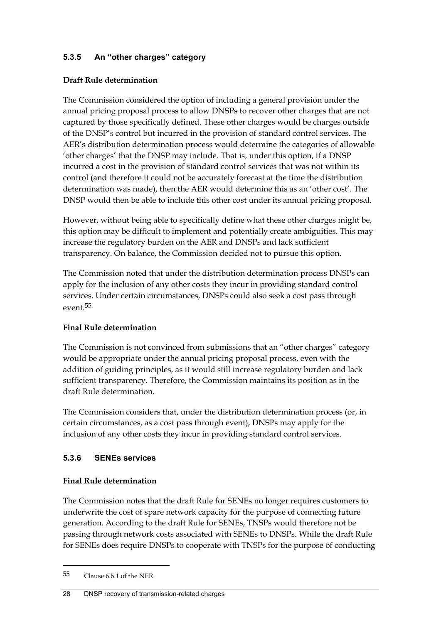## **5.3.5 An "other charges" category**

#### **Draft Rule determination**

The Commission considered the option of including a general provision under the annual pricing proposal process to allow DNSPs to recover other charges that are not captured by those specifically defined. These other charges would be charges outside of the DNSP's control but incurred in the provision of standard control services. The AER's distribution determination process would determine the categories of allowable 'other charges' that the DNSP may include. That is, under this option, if a DNSP incurred a cost in the provision of standard control services that was not within its control (and therefore it could not be accurately forecast at the time the distribution determination was made), then the AER would determine this as an 'other cost'. The DNSP would then be able to include this other cost under its annual pricing proposal.

However, without being able to specifically define what these other charges might be, this option may be difficult to implement and potentially create ambiguities. This may increase the regulatory burden on the AER and DNSPs and lack sufficient transparency. On balance, the Commission decided not to pursue this option.

The Commission noted that under the distribution determination process DNSPs can apply for the inclusion of any other costs they incur in providing standard control services. Under certain circumstances, DNSPs could also seek a cost pass through event.55

#### **Final Rule determination**

The Commission is not convinced from submissions that an "other charges" category would be appropriate under the annual pricing proposal process, even with the addition of guiding principles, as it would still increase regulatory burden and lack sufficient transparency. Therefore, the Commission maintains its position as in the draft Rule determination.

The Commission considers that, under the distribution determination process (or, in certain circumstances, as a cost pass through event), DNSPs may apply for the inclusion of any other costs they incur in providing standard control services.

#### **5.3.6 SENEs services**

#### **Final Rule determination**

The Commission notes that the draft Rule for SENEs no longer requires customers to underwrite the cost of spare network capacity for the purpose of connecting future generation. According to the draft Rule for SENEs, TNSPs would therefore not be passing through network costs associated with SENEs to DNSPs. While the draft Rule for SENEs does require DNSPs to cooperate with TNSPs for the purpose of conducting

1

#### 28 DNSP recovery of transmission-related charges

<sup>55</sup> Clause 6.6.1 of the NER.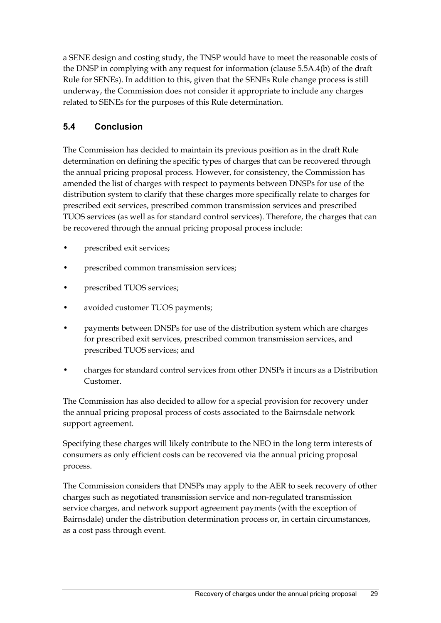a SENE design and costing study, the TNSP would have to meet the reasonable costs of the DNSP in complying with any request for information (clause 5.5A.4(b) of the draft Rule for SENEs). In addition to this, given that the SENEs Rule change process is still underway, the Commission does not consider it appropriate to include any charges related to SENEs for the purposes of this Rule determination.

## **5.4 Conclusion**

The Commission has decided to maintain its previous position as in the draft Rule determination on defining the specific types of charges that can be recovered through the annual pricing proposal process. However, for consistency, the Commission has amended the list of charges with respect to payments between DNSPs for use of the distribution system to clarify that these charges more specifically relate to charges for prescribed exit services, prescribed common transmission services and prescribed TUOS services (as well as for standard control services). Therefore, the charges that can be recovered through the annual pricing proposal process include:

- prescribed exit services;
- prescribed common transmission services;
- prescribed TUOS services;
- avoided customer TUOS payments;
- payments between DNSPs for use of the distribution system which are charges for prescribed exit services, prescribed common transmission services, and prescribed TUOS services; and
- charges for standard control services from other DNSPs it incurs as a Distribution Customer.

The Commission has also decided to allow for a special provision for recovery under the annual pricing proposal process of costs associated to the Bairnsdale network support agreement.

Specifying these charges will likely contribute to the NEO in the long term interests of consumers as only efficient costs can be recovered via the annual pricing proposal process.

The Commission considers that DNSPs may apply to the AER to seek recovery of other charges such as negotiated transmission service and non-regulated transmission service charges, and network support agreement payments (with the exception of Bairnsdale) under the distribution determination process or, in certain circumstances, as a cost pass through event.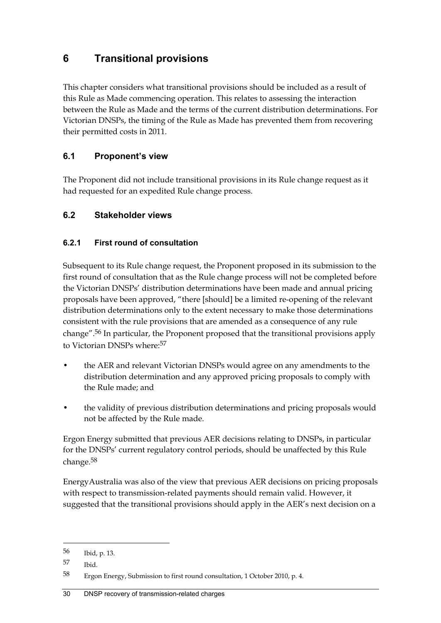## **6 Transitional provisions**

This chapter considers what transitional provisions should be included as a result of this Rule as Made commencing operation. This relates to assessing the interaction between the Rule as Made and the terms of the current distribution determinations. For Victorian DNSPs, the timing of the Rule as Made has prevented them from recovering their permitted costs in 2011.

## **6.1 Proponent's view**

The Proponent did not include transitional provisions in its Rule change request as it had requested for an expedited Rule change process.

## **6.2 Stakeholder views**

### **6.2.1 First round of consultation**

Subsequent to its Rule change request, the Proponent proposed in its submission to the first round of consultation that as the Rule change process will not be completed before the Victorian DNSPs' distribution determinations have been made and annual pricing proposals have been approved, "there [should] be a limited re-opening of the relevant distribution determinations only to the extent necessary to make those determinations consistent with the rule provisions that are amended as a consequence of any rule change".56 In particular, the Proponent proposed that the transitional provisions apply to Victorian DNSPs where:57

- the AER and relevant Victorian DNSPs would agree on any amendments to the distribution determination and any approved pricing proposals to comply with the Rule made; and
- the validity of previous distribution determinations and pricing proposals would not be affected by the Rule made.

Ergon Energy submitted that previous AER decisions relating to DNSPs, in particular for the DNSPs' current regulatory control periods, should be unaffected by this Rule change.58

EnergyAustralia was also of the view that previous AER decisions on pricing proposals with respect to transmission-related payments should remain valid. However, it suggested that the transitional provisions should apply in the AER's next decision on a

<u>.</u>

<sup>56</sup> Ibid, p. 13.

<sup>57</sup> Ibid.

<sup>58</sup> Ergon Energy, Submission to first round consultation, 1 October 2010, p. 4.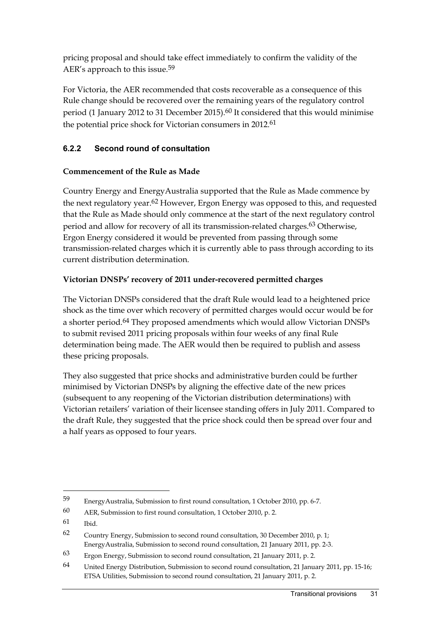pricing proposal and should take effect immediately to confirm the validity of the AER's approach to this issue.59

For Victoria, the AER recommended that costs recoverable as a consequence of this Rule change should be recovered over the remaining years of the regulatory control period (1 January 2012 to 31 December 2015).<sup>60</sup> It considered that this would minimise the potential price shock for Victorian consumers in 2012.61

## **6.2.2 Second round of consultation**

#### **Commencement of the Rule as Made**

Country Energy and EnergyAustralia supported that the Rule as Made commence by the next regulatory year.<sup>62</sup> However, Ergon Energy was opposed to this, and requested that the Rule as Made should only commence at the start of the next regulatory control period and allow for recovery of all its transmission-related charges.63 Otherwise, Ergon Energy considered it would be prevented from passing through some transmission-related charges which it is currently able to pass through according to its current distribution determination.

#### **Victorian DNSPs' recovery of 2011 under-recovered permitted charges**

The Victorian DNSPs considered that the draft Rule would lead to a heightened price shock as the time over which recovery of permitted charges would occur would be for a shorter period.64 They proposed amendments which would allow Victorian DNSPs to submit revised 2011 pricing proposals within four weeks of any final Rule determination being made. The AER would then be required to publish and assess these pricing proposals.

They also suggested that price shocks and administrative burden could be further minimised by Victorian DNSPs by aligning the effective date of the new prices (subsequent to any reopening of the Victorian distribution determinations) with Victorian retailers' variation of their licensee standing offers in July 2011. Compared to the draft Rule, they suggested that the price shock could then be spread over four and a half years as opposed to four years.

<u>.</u>

<sup>59</sup> EnergyAustralia, Submission to first round consultation, 1 October 2010, pp. 6-7.

<sup>60</sup> AER, Submission to first round consultation, 1 October 2010, p. 2.

<sup>61</sup> Ibid.

<sup>62</sup> Country Energy, Submission to second round consultation, 30 December 2010, p. 1; EnergyAustralia, Submission to second round consultation, 21 January 2011, pp. 2-3.

<sup>63</sup> Ergon Energy, Submission to second round consultation, 21 January 2011, p. 2.

<sup>64</sup> United Energy Distribution, Submission to second round consultation, 21 January 2011, pp. 15-16; ETSA Utilities, Submission to second round consultation, 21 January 2011, p. 2.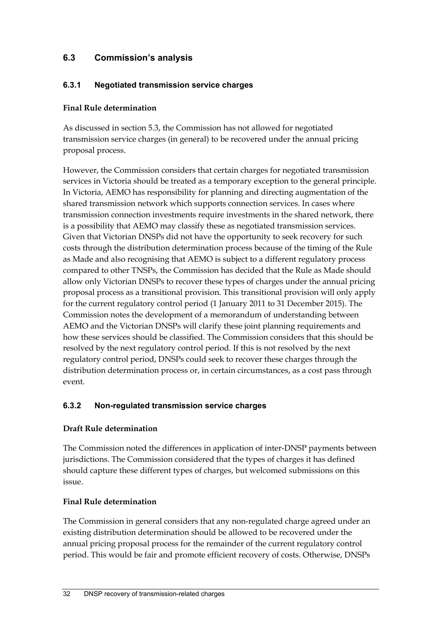## **6.3 Commission's analysis**

#### **6.3.1 Negotiated transmission service charges**

#### **Final Rule determination**

As discussed in section 5.3, the Commission has not allowed for negotiated transmission service charges (in general) to be recovered under the annual pricing proposal process.

However, the Commission considers that certain charges for negotiated transmission services in Victoria should be treated as a temporary exception to the general principle. In Victoria, AEMO has responsibility for planning and directing augmentation of the shared transmission network which supports connection services. In cases where transmission connection investments require investments in the shared network, there is a possibility that AEMO may classify these as negotiated transmission services. Given that Victorian DNSPs did not have the opportunity to seek recovery for such costs through the distribution determination process because of the timing of the Rule as Made and also recognising that AEMO is subject to a different regulatory process compared to other TNSPs, the Commission has decided that the Rule as Made should allow only Victorian DNSPs to recover these types of charges under the annual pricing proposal process as a transitional provision. This transitional provision will only apply for the current regulatory control period (1 January 2011 to 31 December 2015). The Commission notes the development of a memorandum of understanding between AEMO and the Victorian DNSPs will clarify these joint planning requirements and how these services should be classified. The Commission considers that this should be resolved by the next regulatory control period. If this is not resolved by the next regulatory control period, DNSPs could seek to recover these charges through the distribution determination process or, in certain circumstances, as a cost pass through event.

#### **6.3.2 Non-regulated transmission service charges**

#### **Draft Rule determination**

The Commission noted the differences in application of inter-DNSP payments between jurisdictions. The Commission considered that the types of charges it has defined should capture these different types of charges, but welcomed submissions on this issue.

#### **Final Rule determination**

The Commission in general considers that any non-regulated charge agreed under an existing distribution determination should be allowed to be recovered under the annual pricing proposal process for the remainder of the current regulatory control period. This would be fair and promote efficient recovery of costs. Otherwise, DNSPs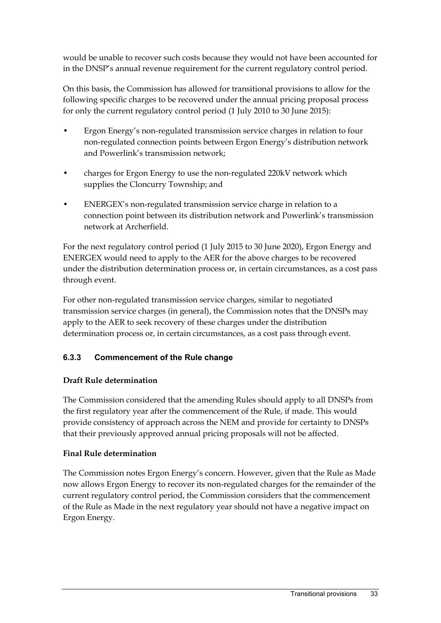would be unable to recover such costs because they would not have been accounted for in the DNSP's annual revenue requirement for the current regulatory control period.

On this basis, the Commission has allowed for transitional provisions to allow for the following specific charges to be recovered under the annual pricing proposal process for only the current regulatory control period (1 July 2010 to 30 June 2015):

- Ergon Energy's non-regulated transmission service charges in relation to four non-regulated connection points between Ergon Energy's distribution network and Powerlink's transmission network;
- charges for Ergon Energy to use the non-regulated 220kV network which supplies the Cloncurry Township; and
- ENERGEX's non-regulated transmission service charge in relation to a connection point between its distribution network and Powerlink's transmission network at Archerfield.

For the next regulatory control period (1 July 2015 to 30 June 2020), Ergon Energy and ENERGEX would need to apply to the AER for the above charges to be recovered under the distribution determination process or, in certain circumstances, as a cost pass through event.

For other non-regulated transmission service charges, similar to negotiated transmission service charges (in general), the Commission notes that the DNSPs may apply to the AER to seek recovery of these charges under the distribution determination process or, in certain circumstances, as a cost pass through event.

## **6.3.3 Commencement of the Rule change**

#### **Draft Rule determination**

The Commission considered that the amending Rules should apply to all DNSPs from the first regulatory year after the commencement of the Rule, if made. This would provide consistency of approach across the NEM and provide for certainty to DNSPs that their previously approved annual pricing proposals will not be affected.

#### **Final Rule determination**

The Commission notes Ergon Energy's concern. However, given that the Rule as Made now allows Ergon Energy to recover its non-regulated charges for the remainder of the current regulatory control period, the Commission considers that the commencement of the Rule as Made in the next regulatory year should not have a negative impact on Ergon Energy.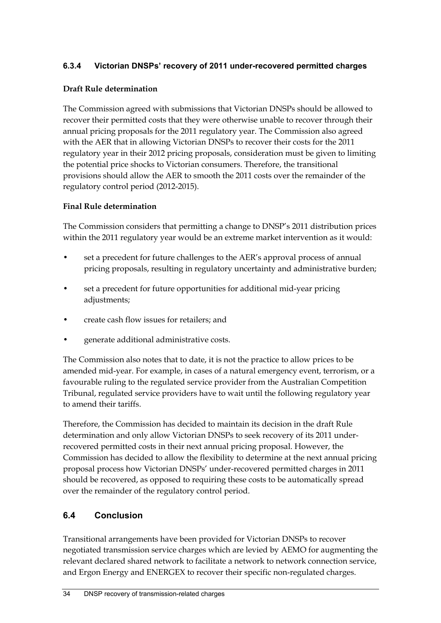#### **6.3.4 Victorian DNSPs' recovery of 2011 under-recovered permitted charges**

#### **Draft Rule determination**

The Commission agreed with submissions that Victorian DNSPs should be allowed to recover their permitted costs that they were otherwise unable to recover through their annual pricing proposals for the 2011 regulatory year. The Commission also agreed with the AER that in allowing Victorian DNSPs to recover their costs for the 2011 regulatory year in their 2012 pricing proposals, consideration must be given to limiting the potential price shocks to Victorian consumers. Therefore, the transitional provisions should allow the AER to smooth the 2011 costs over the remainder of the regulatory control period (2012-2015).

#### **Final Rule determination**

The Commission considers that permitting a change to DNSP's 2011 distribution prices within the 2011 regulatory year would be an extreme market intervention as it would:

- set a precedent for future challenges to the AER's approval process of annual pricing proposals, resulting in regulatory uncertainty and administrative burden;
- set a precedent for future opportunities for additional mid-year pricing adjustments;
- create cash flow issues for retailers; and
- generate additional administrative costs.

The Commission also notes that to date, it is not the practice to allow prices to be amended mid-year. For example, in cases of a natural emergency event, terrorism, or a favourable ruling to the regulated service provider from the Australian Competition Tribunal, regulated service providers have to wait until the following regulatory year to amend their tariffs.

Therefore, the Commission has decided to maintain its decision in the draft Rule determination and only allow Victorian DNSPs to seek recovery of its 2011 underrecovered permitted costs in their next annual pricing proposal. However, the Commission has decided to allow the flexibility to determine at the next annual pricing proposal process how Victorian DNSPs' under-recovered permitted charges in 2011 should be recovered, as opposed to requiring these costs to be automatically spread over the remainder of the regulatory control period.

## **6.4 Conclusion**

Transitional arrangements have been provided for Victorian DNSPs to recover negotiated transmission service charges which are levied by AEMO for augmenting the relevant declared shared network to facilitate a network to network connection service, and Ergon Energy and ENERGEX to recover their specific non-regulated charges.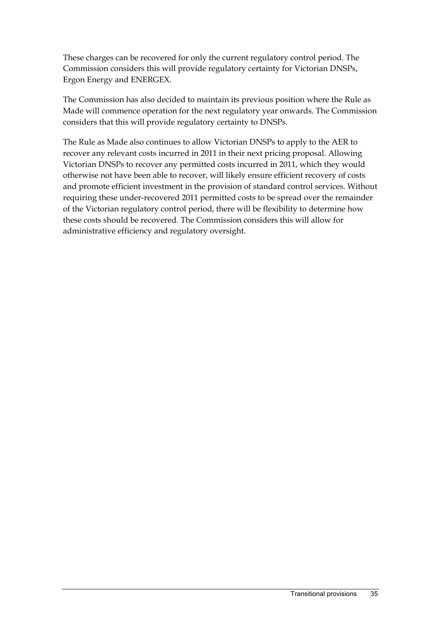These charges can be recovered for only the current regulatory control period. The Commission considers this will provide regulatory certainty for Victorian DNSPs, Ergon Energy and ENERGEX.

The Commission has also decided to maintain its previous position where the Rule as Made will commence operation for the next regulatory year onwards. The Commission considers that this will provide regulatory certainty to DNSPs.

The Rule as Made also continues to allow Victorian DNSPs to apply to the AER to recover any relevant costs incurred in 2011 in their next pricing proposal. Allowing Victorian DNSPs to recover any permitted costs incurred in 2011, which they would otherwise not have been able to recover, will likely ensure efficient recovery of costs and promote efficient investment in the provision of standard control services. Without requiring these under-recovered 2011 permitted costs to be spread over the remainder of the Victorian regulatory control period, there will be flexibility to determine how these costs should be recovered. The Commission considers this will allow for administrative efficiency and regulatory oversight.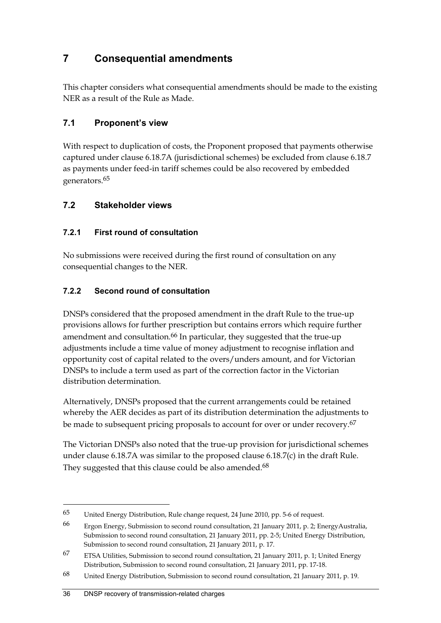## **7 Consequential amendments**

This chapter considers what consequential amendments should be made to the existing NER as a result of the Rule as Made.

## **7.1 Proponent's view**

With respect to duplication of costs, the Proponent proposed that payments otherwise captured under clause 6.18.7A (jurisdictional schemes) be excluded from clause 6.18.7 as payments under feed-in tariff schemes could be also recovered by embedded generators.65

## **7.2 Stakeholder views**

## **7.2.1 First round of consultation**

No submissions were received during the first round of consultation on any consequential changes to the NER.

## **7.2.2 Second round of consultation**

DNSPs considered that the proposed amendment in the draft Rule to the true-up provisions allows for further prescription but contains errors which require further amendment and consultation.<sup>66</sup> In particular, they suggested that the true-up adjustments include a time value of money adjustment to recognise inflation and opportunity cost of capital related to the overs/unders amount, and for Victorian DNSPs to include a term used as part of the correction factor in the Victorian distribution determination.

Alternatively, DNSPs proposed that the current arrangements could be retained whereby the AER decides as part of its distribution determination the adjustments to be made to subsequent pricing proposals to account for over or under recovery.<sup>67</sup>

The Victorian DNSPs also noted that the true-up provision for jurisdictional schemes under clause 6.18.7A was similar to the proposed clause 6.18.7(c) in the draft Rule. They suggested that this clause could be also amended.<sup>68</sup>

<sup>65</sup> United Energy Distribution, Rule change request, 24 June 2010, pp. 5-6 of request.

<sup>66</sup> Ergon Energy, Submission to second round consultation, 21 January 2011, p. 2; EnergyAustralia, Submission to second round consultation, 21 January 2011, pp. 2-5; United Energy Distribution, Submission to second round consultation, 21 January 2011, p. 17.

<sup>67</sup> ETSA Utilities, Submission to second round consultation, 21 January 2011, p. 1; United Energy Distribution, Submission to second round consultation, 21 January 2011, pp. 17-18.

<sup>68</sup> United Energy Distribution, Submission to second round consultation, 21 January 2011, p. 19.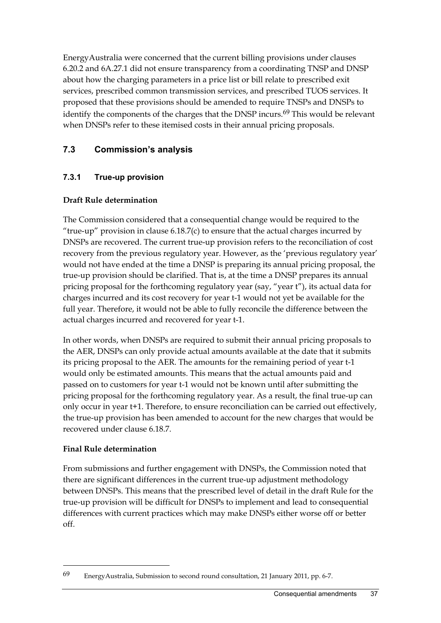EnergyAustralia were concerned that the current billing provisions under clauses 6.20.2 and 6A.27.1 did not ensure transparency from a coordinating TNSP and DNSP about how the charging parameters in a price list or bill relate to prescribed exit services, prescribed common transmission services, and prescribed TUOS services. It proposed that these provisions should be amended to require TNSPs and DNSPs to identify the components of the charges that the DNSP incurs.<sup>69</sup> This would be relevant when DNSPs refer to these itemised costs in their annual pricing proposals.

## **7.3 Commission's analysis**

## **7.3.1 True-up provision**

### **Draft Rule determination**

The Commission considered that a consequential change would be required to the "true-up" provision in clause  $6.18.7(c)$  to ensure that the actual charges incurred by DNSPs are recovered. The current true-up provision refers to the reconciliation of cost recovery from the previous regulatory year. However, as the 'previous regulatory year' would not have ended at the time a DNSP is preparing its annual pricing proposal, the true-up provision should be clarified. That is, at the time a DNSP prepares its annual pricing proposal for the forthcoming regulatory year (say, "year t"), its actual data for charges incurred and its cost recovery for year t-1 would not yet be available for the full year. Therefore, it would not be able to fully reconcile the difference between the actual charges incurred and recovered for year t-1.

In other words, when DNSPs are required to submit their annual pricing proposals to the AER, DNSPs can only provide actual amounts available at the date that it submits its pricing proposal to the AER. The amounts for the remaining period of year t-1 would only be estimated amounts. This means that the actual amounts paid and passed on to customers for year t-1 would not be known until after submitting the pricing proposal for the forthcoming regulatory year. As a result, the final true-up can only occur in year t+1. Therefore, to ensure reconciliation can be carried out effectively, the true-up provision has been amended to account for the new charges that would be recovered under clause 6.18.7.

#### **Final Rule determination**

1

From submissions and further engagement with DNSPs, the Commission noted that there are significant differences in the current true-up adjustment methodology between DNSPs. This means that the prescribed level of detail in the draft Rule for the true-up provision will be difficult for DNSPs to implement and lead to consequential differences with current practices which may make DNSPs either worse off or better off.

<sup>69</sup> EnergyAustralia, Submission to second round consultation, 21 January 2011, pp. 6-7.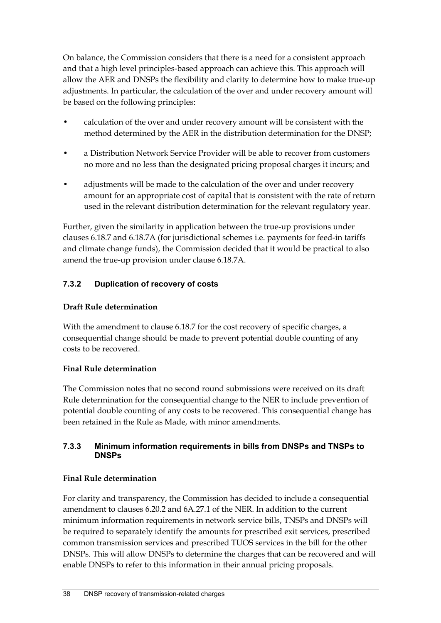On balance, the Commission considers that there is a need for a consistent approach and that a high level principles-based approach can achieve this. This approach will allow the AER and DNSPs the flexibility and clarity to determine how to make true-up adjustments. In particular, the calculation of the over and under recovery amount will be based on the following principles:

- calculation of the over and under recovery amount will be consistent with the method determined by the AER in the distribution determination for the DNSP;
- a Distribution Network Service Provider will be able to recover from customers no more and no less than the designated pricing proposal charges it incurs; and
- adjustments will be made to the calculation of the over and under recovery amount for an appropriate cost of capital that is consistent with the rate of return used in the relevant distribution determination for the relevant regulatory year.

Further, given the similarity in application between the true-up provisions under clauses 6.18.7 and 6.18.7A (for jurisdictional schemes i.e. payments for feed-in tariffs and climate change funds), the Commission decided that it would be practical to also amend the true-up provision under clause 6.18.7A.

## **7.3.2 Duplication of recovery of costs**

#### **Draft Rule determination**

With the amendment to clause 6.18.7 for the cost recovery of specific charges, a consequential change should be made to prevent potential double counting of any costs to be recovered.

#### **Final Rule determination**

The Commission notes that no second round submissions were received on its draft Rule determination for the consequential change to the NER to include prevention of potential double counting of any costs to be recovered. This consequential change has been retained in the Rule as Made, with minor amendments.

#### **7.3.3 Minimum information requirements in bills from DNSPs and TNSPs to DNSPs**

#### **Final Rule determination**

For clarity and transparency, the Commission has decided to include a consequential amendment to clauses 6.20.2 and 6A.27.1 of the NER. In addition to the current minimum information requirements in network service bills, TNSPs and DNSPs will be required to separately identify the amounts for prescribed exit services, prescribed common transmission services and prescribed TUOS services in the bill for the other DNSPs. This will allow DNSPs to determine the charges that can be recovered and will enable DNSPs to refer to this information in their annual pricing proposals.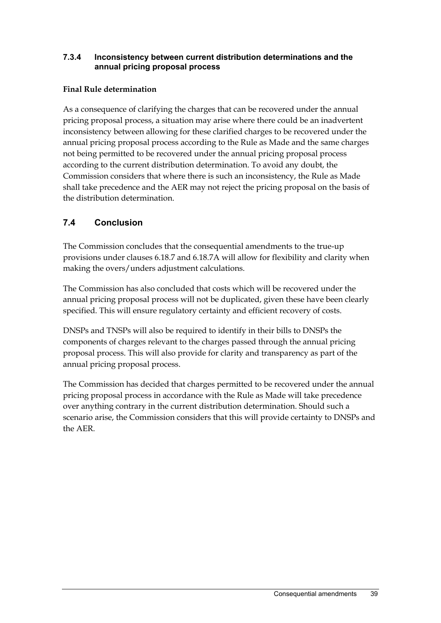#### **7.3.4 Inconsistency between current distribution determinations and the annual pricing proposal process**

#### **Final Rule determination**

As a consequence of clarifying the charges that can be recovered under the annual pricing proposal process, a situation may arise where there could be an inadvertent inconsistency between allowing for these clarified charges to be recovered under the annual pricing proposal process according to the Rule as Made and the same charges not being permitted to be recovered under the annual pricing proposal process according to the current distribution determination. To avoid any doubt, the Commission considers that where there is such an inconsistency, the Rule as Made shall take precedence and the AER may not reject the pricing proposal on the basis of the distribution determination.

## **7.4 Conclusion**

The Commission concludes that the consequential amendments to the true-up provisions under clauses 6.18.7 and 6.18.7A will allow for flexibility and clarity when making the overs/unders adjustment calculations.

The Commission has also concluded that costs which will be recovered under the annual pricing proposal process will not be duplicated, given these have been clearly specified. This will ensure regulatory certainty and efficient recovery of costs.

DNSPs and TNSPs will also be required to identify in their bills to DNSPs the components of charges relevant to the charges passed through the annual pricing proposal process. This will also provide for clarity and transparency as part of the annual pricing proposal process.

The Commission has decided that charges permitted to be recovered under the annual pricing proposal process in accordance with the Rule as Made will take precedence over anything contrary in the current distribution determination. Should such a scenario arise, the Commission considers that this will provide certainty to DNSPs and the AER.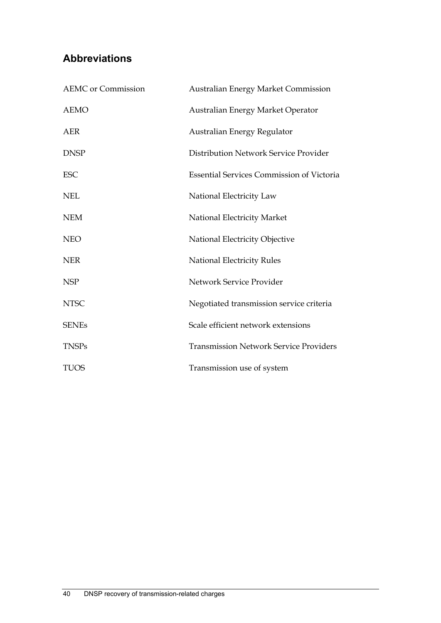## **Abbreviations**

| <b>AEMC</b> or Commission | <b>Australian Energy Market Commission</b>       |
|---------------------------|--------------------------------------------------|
| <b>AEMO</b>               | Australian Energy Market Operator                |
| <b>AER</b>                | Australian Energy Regulator                      |
| <b>DNSP</b>               | Distribution Network Service Provider            |
| <b>ESC</b>                | <b>Essential Services Commission of Victoria</b> |
| <b>NEL</b>                | National Electricity Law                         |
| <b>NEM</b>                | National Electricity Market                      |
| <b>NEO</b>                | National Electricity Objective                   |
| <b>NER</b>                | <b>National Electricity Rules</b>                |
| <b>NSP</b>                | Network Service Provider                         |
| <b>NTSC</b>               | Negotiated transmission service criteria         |
| <b>SENEs</b>              | Scale efficient network extensions               |
| <b>TNSPs</b>              | <b>Transmission Network Service Providers</b>    |
| <b>TUOS</b>               | Transmission use of system                       |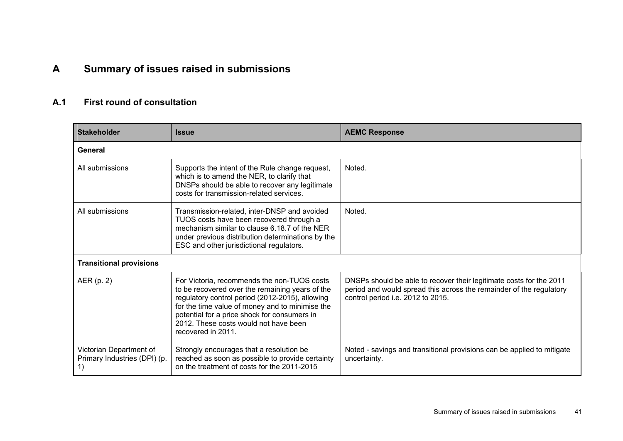# **A Summary of issues raised in submissions**

#### **A.1 First round of consultation**

| <b>Stakeholder</b>                                            | <b>Issue</b>                                                                                                                                                                                                                                                                                                        | <b>AEMC Response</b>                                                                                                                                                            |  |  |
|---------------------------------------------------------------|---------------------------------------------------------------------------------------------------------------------------------------------------------------------------------------------------------------------------------------------------------------------------------------------------------------------|---------------------------------------------------------------------------------------------------------------------------------------------------------------------------------|--|--|
| General                                                       |                                                                                                                                                                                                                                                                                                                     |                                                                                                                                                                                 |  |  |
| All submissions                                               | Supports the intent of the Rule change request,<br>which is to amend the NER, to clarify that<br>DNSPs should be able to recover any legitimate<br>costs for transmission-related services.                                                                                                                         | Noted.                                                                                                                                                                          |  |  |
| All submissions                                               | Transmission-related, inter-DNSP and avoided<br>TUOS costs have been recovered through a<br>mechanism similar to clause 6.18.7 of the NER<br>under previous distribution determinations by the<br>ESC and other jurisdictional regulators.                                                                          | Noted.                                                                                                                                                                          |  |  |
| <b>Transitional provisions</b>                                |                                                                                                                                                                                                                                                                                                                     |                                                                                                                                                                                 |  |  |
| AER(p. 2)                                                     | For Victoria, recommends the non-TUOS costs<br>to be recovered over the remaining years of the<br>regulatory control period (2012-2015), allowing<br>for the time value of money and to minimise the<br>potential for a price shock for consumers in<br>2012. These costs would not have been<br>recovered in 2011. | DNSPs should be able to recover their legitimate costs for the 2011<br>period and would spread this across the remainder of the regulatory<br>control period i.e. 2012 to 2015. |  |  |
| Victorian Department of<br>Primary Industries (DPI) (p.<br>1) | Strongly encourages that a resolution be<br>reached as soon as possible to provide certainty<br>on the treatment of costs for the 2011-2015                                                                                                                                                                         | Noted - savings and transitional provisions can be applied to mitigate<br>uncertainty.                                                                                          |  |  |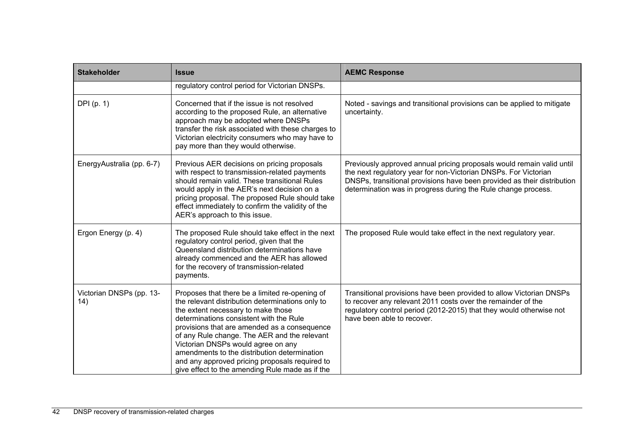| <b>Stakeholder</b>              | <b>Issue</b>                                                                                                                                                                                                                                                                                                                                                                                                                                                                   | <b>AEMC Response</b>                                                                                                                                                                                                                                                                 |
|---------------------------------|--------------------------------------------------------------------------------------------------------------------------------------------------------------------------------------------------------------------------------------------------------------------------------------------------------------------------------------------------------------------------------------------------------------------------------------------------------------------------------|--------------------------------------------------------------------------------------------------------------------------------------------------------------------------------------------------------------------------------------------------------------------------------------|
|                                 | regulatory control period for Victorian DNSPs.                                                                                                                                                                                                                                                                                                                                                                                                                                 |                                                                                                                                                                                                                                                                                      |
| DPI(p. 1)                       | Concerned that if the issue is not resolved<br>according to the proposed Rule, an alternative<br>approach may be adopted where DNSPs<br>transfer the risk associated with these charges to<br>Victorian electricity consumers who may have to<br>pay more than they would otherwise.                                                                                                                                                                                           | Noted - savings and transitional provisions can be applied to mitigate<br>uncertainty.                                                                                                                                                                                               |
| EnergyAustralia (pp. 6-7)       | Previous AER decisions on pricing proposals<br>with respect to transmission-related payments<br>should remain valid. These transitional Rules<br>would apply in the AER's next decision on a<br>pricing proposal. The proposed Rule should take<br>effect immediately to confirm the validity of the<br>AER's approach to this issue.                                                                                                                                          | Previously approved annual pricing proposals would remain valid until<br>the next regulatory year for non-Victorian DNSPs. For Victorian<br>DNSPs, transitional provisions have been provided as their distribution<br>determination was in progress during the Rule change process. |
| Ergon Energy (p. 4)             | The proposed Rule should take effect in the next<br>regulatory control period, given that the<br>Queensland distribution determinations have<br>already commenced and the AER has allowed<br>for the recovery of transmission-related<br>payments.                                                                                                                                                                                                                             | The proposed Rule would take effect in the next regulatory year.                                                                                                                                                                                                                     |
| Victorian DNSPs (pp. 13-<br>14) | Proposes that there be a limited re-opening of<br>the relevant distribution determinations only to<br>the extent necessary to make those<br>determinations consistent with the Rule<br>provisions that are amended as a consequence<br>of any Rule change. The AER and the relevant<br>Victorian DNSPs would agree on any<br>amendments to the distribution determination<br>and any approved pricing proposals required to<br>give effect to the amending Rule made as if the | Transitional provisions have been provided to allow Victorian DNSPs<br>to recover any relevant 2011 costs over the remainder of the<br>regulatory control period (2012-2015) that they would otherwise not<br>have been able to recover.                                             |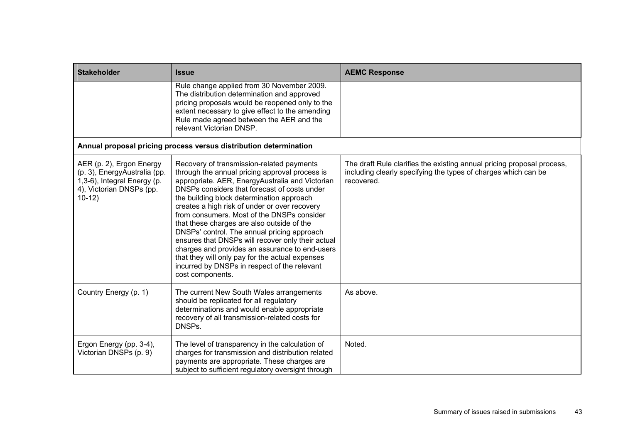| <b>Stakeholder</b>                                                                                                              | <b>Issue</b>                                                                                                                                                                                                                                                                                                                                                                                                                                                                                                                                                                                                                                                          | <b>AEMC Response</b>                                                                                                                                   |
|---------------------------------------------------------------------------------------------------------------------------------|-----------------------------------------------------------------------------------------------------------------------------------------------------------------------------------------------------------------------------------------------------------------------------------------------------------------------------------------------------------------------------------------------------------------------------------------------------------------------------------------------------------------------------------------------------------------------------------------------------------------------------------------------------------------------|--------------------------------------------------------------------------------------------------------------------------------------------------------|
|                                                                                                                                 | Rule change applied from 30 November 2009.<br>The distribution determination and approved<br>pricing proposals would be reopened only to the<br>extent necessary to give effect to the amending<br>Rule made agreed between the AER and the<br>relevant Victorian DNSP.                                                                                                                                                                                                                                                                                                                                                                                               |                                                                                                                                                        |
|                                                                                                                                 | Annual proposal pricing process versus distribution determination                                                                                                                                                                                                                                                                                                                                                                                                                                                                                                                                                                                                     |                                                                                                                                                        |
| AER (p. 2), Ergon Energy<br>(p. 3), EnergyAustralia (pp.<br>1,3-6), Integral Energy (p.<br>4), Victorian DNSPs (pp.<br>$10-12)$ | Recovery of transmission-related payments<br>through the annual pricing approval process is<br>appropriate. AER, EnergyAustralia and Victorian<br>DNSPs considers that forecast of costs under<br>the building block determination approach<br>creates a high risk of under or over recovery<br>from consumers. Most of the DNSPs consider<br>that these charges are also outside of the<br>DNSPs' control. The annual pricing approach<br>ensures that DNSPs will recover only their actual<br>charges and provides an assurance to end-users<br>that they will only pay for the actual expenses<br>incurred by DNSPs in respect of the relevant<br>cost components. | The draft Rule clarifies the existing annual pricing proposal process,<br>including clearly specifying the types of charges which can be<br>recovered. |
| Country Energy (p. 1)                                                                                                           | The current New South Wales arrangements<br>should be replicated for all regulatory<br>determinations and would enable appropriate<br>recovery of all transmission-related costs for<br>DNSPs.                                                                                                                                                                                                                                                                                                                                                                                                                                                                        | As above.                                                                                                                                              |
| Ergon Energy (pp. 3-4),<br>Victorian DNSPs (p. 9)                                                                               | The level of transparency in the calculation of<br>charges for transmission and distribution related<br>payments are appropriate. These charges are<br>subject to sufficient regulatory oversight through                                                                                                                                                                                                                                                                                                                                                                                                                                                             | Noted.                                                                                                                                                 |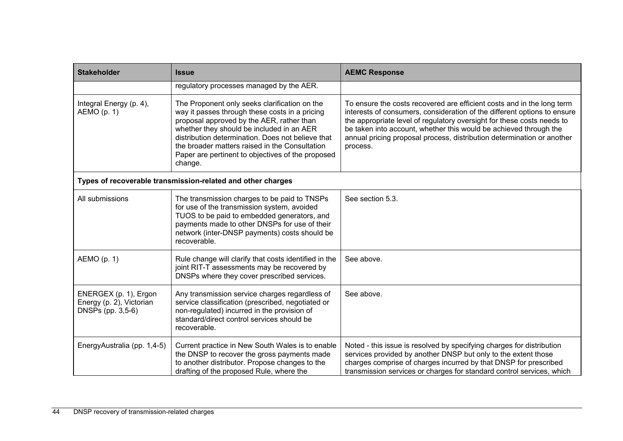| <b>Stakeholder</b>                                                     | <b>Issue</b>                                                                                                                                                                                                                                                                                                                                                     | <b>AEMC Response</b>                                                                                                                                                                                                                                                                                                                                                                    |  |  |  |
|------------------------------------------------------------------------|------------------------------------------------------------------------------------------------------------------------------------------------------------------------------------------------------------------------------------------------------------------------------------------------------------------------------------------------------------------|-----------------------------------------------------------------------------------------------------------------------------------------------------------------------------------------------------------------------------------------------------------------------------------------------------------------------------------------------------------------------------------------|--|--|--|
|                                                                        | regulatory processes managed by the AER.                                                                                                                                                                                                                                                                                                                         |                                                                                                                                                                                                                                                                                                                                                                                         |  |  |  |
| Integral Energy (p. 4),<br>AEMO(p. 1)                                  | The Proponent only seeks clarification on the<br>way it passes through these costs in a pricing<br>proposal approved by the AER, rather than<br>whether they should be included in an AER<br>distribution determination. Does not believe that<br>the broader matters raised in the Consultation<br>Paper are pertinent to objectives of the proposed<br>change. | To ensure the costs recovered are efficient costs and in the long term<br>interests of consumers, consideration of the different options to ensure<br>the appropriate level of regulatory oversight for these costs needs to<br>be taken into account, whether this would be achieved through the<br>annual pricing proposal process, distribution determination or another<br>process. |  |  |  |
|                                                                        | Types of recoverable transmission-related and other charges                                                                                                                                                                                                                                                                                                      |                                                                                                                                                                                                                                                                                                                                                                                         |  |  |  |
| All submissions                                                        | The transmission charges to be paid to TNSPs<br>for use of the transmission system, avoided<br>TUOS to be paid to embedded generators, and<br>payments made to other DNSPs for use of their<br>network (inter-DNSP payments) costs should be<br>recoverable.                                                                                                     | See section 5.3.                                                                                                                                                                                                                                                                                                                                                                        |  |  |  |
| AEMO (p. 1)                                                            | Rule change will clarify that costs identified in the<br>joint RIT-T assessments may be recovered by<br>DNSPs where they cover prescribed services.                                                                                                                                                                                                              | See above.                                                                                                                                                                                                                                                                                                                                                                              |  |  |  |
| ENERGEX (p. 1), Ergon<br>Energy (p. 2), Victorian<br>DNSPs (pp. 3,5-6) | Any transmission service charges regardless of<br>service classification (prescribed, negotiated or<br>non-regulated) incurred in the provision of<br>standard/direct control services should be<br>recoverable.                                                                                                                                                 | See above.                                                                                                                                                                                                                                                                                                                                                                              |  |  |  |
| EnergyAustralia (pp. 1,4-5)                                            | Current practice in New South Wales is to enable<br>the DNSP to recover the gross payments made<br>to another distributor. Propose changes to the<br>drafting of the proposed Rule, where the                                                                                                                                                                    | Noted - this issue is resolved by specifying charges for distribution<br>services provided by another DNSP but only to the extent those<br>charges comprise of charges incurred by that DNSP for prescribed<br>transmission services or charges for standard control services, which                                                                                                    |  |  |  |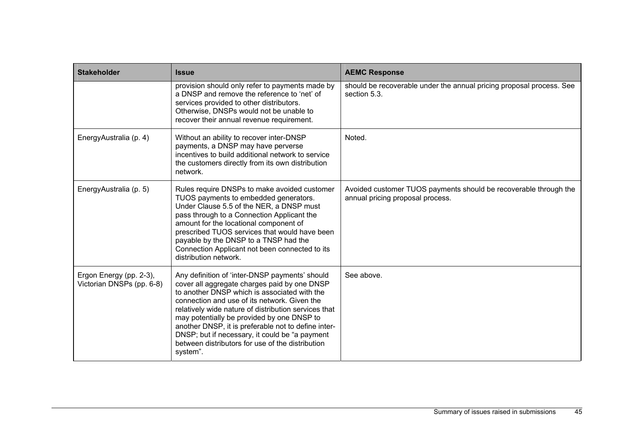| <b>Stakeholder</b>                                   | <b>Issue</b>                                                                                                                                                                                                                                                                                                                                                                                                                                                                   | <b>AEMC Response</b>                                                                                 |
|------------------------------------------------------|--------------------------------------------------------------------------------------------------------------------------------------------------------------------------------------------------------------------------------------------------------------------------------------------------------------------------------------------------------------------------------------------------------------------------------------------------------------------------------|------------------------------------------------------------------------------------------------------|
|                                                      | provision should only refer to payments made by<br>a DNSP and remove the reference to 'net' of<br>services provided to other distributors.<br>Otherwise, DNSPs would not be unable to<br>recover their annual revenue requirement.                                                                                                                                                                                                                                             | should be recoverable under the annual pricing proposal process. See<br>section 5.3.                 |
| EnergyAustralia (p. 4)                               | Without an ability to recover inter-DNSP<br>payments, a DNSP may have perverse<br>incentives to build additional network to service<br>the customers directly from its own distribution<br>network.                                                                                                                                                                                                                                                                            | Noted.                                                                                               |
| EnergyAustralia (p. 5)                               | Rules require DNSPs to make avoided customer<br>TUOS payments to embedded generators.<br>Under Clause 5.5 of the NER, a DNSP must<br>pass through to a Connection Applicant the<br>amount for the locational component of<br>prescribed TUOS services that would have been<br>payable by the DNSP to a TNSP had the<br>Connection Applicant not been connected to its<br>distribution network.                                                                                 | Avoided customer TUOS payments should be recoverable through the<br>annual pricing proposal process. |
| Ergon Energy (pp. 2-3),<br>Victorian DNSPs (pp. 6-8) | Any definition of 'inter-DNSP payments' should<br>cover all aggregate charges paid by one DNSP<br>to another DNSP which is associated with the<br>connection and use of its network. Given the<br>relatively wide nature of distribution services that<br>may potentially be provided by one DNSP to<br>another DNSP, it is preferable not to define inter-<br>DNSP; but if necessary, it could be "a payment"<br>between distributors for use of the distribution<br>system". | See above.                                                                                           |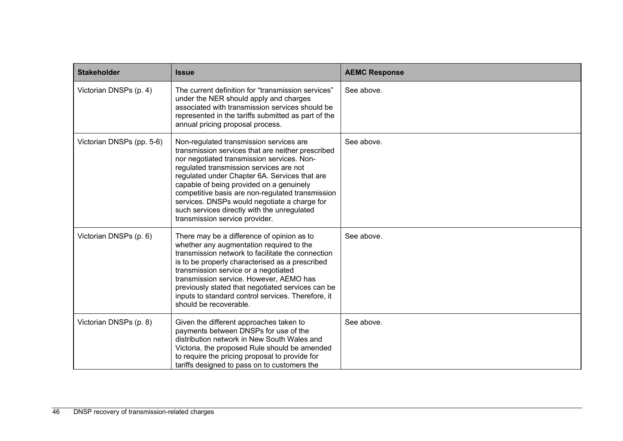| <b>Stakeholder</b>        | <b>Issue</b>                                                                                                                                                                                                                                                                                                                                                                                                                                                            | <b>AEMC Response</b> |
|---------------------------|-------------------------------------------------------------------------------------------------------------------------------------------------------------------------------------------------------------------------------------------------------------------------------------------------------------------------------------------------------------------------------------------------------------------------------------------------------------------------|----------------------|
| Victorian DNSPs (p. 4)    | The current definition for "transmission services"<br>under the NER should apply and charges<br>associated with transmission services should be<br>represented in the tariffs submitted as part of the<br>annual pricing proposal process.                                                                                                                                                                                                                              | See above.           |
| Victorian DNSPs (pp. 5-6) | Non-regulated transmission services are<br>transmission services that are neither prescribed<br>nor negotiated transmission services. Non-<br>regulated transmission services are not<br>regulated under Chapter 6A. Services that are<br>capable of being provided on a genuinely<br>competitive basis are non-regulated transmission<br>services. DNSPs would negotiate a charge for<br>such services directly with the unregulated<br>transmission service provider. | See above.           |
| Victorian DNSPs (p. 6)    | There may be a difference of opinion as to<br>whether any augmentation required to the<br>transmission network to facilitate the connection<br>is to be properly characterised as a prescribed<br>transmission service or a negotiated<br>transmission service. However, AEMO has<br>previously stated that negotiated services can be<br>inputs to standard control services. Therefore, it<br>should be recoverable.                                                  | See above.           |
| Victorian DNSPs (p. 8)    | Given the different approaches taken to<br>payments between DNSPs for use of the<br>distribution network in New South Wales and<br>Victoria, the proposed Rule should be amended<br>to require the pricing proposal to provide for<br>tariffs designed to pass on to customers the                                                                                                                                                                                      | See above.           |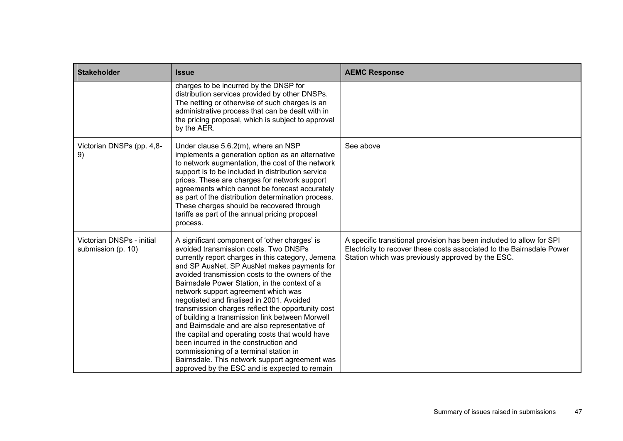| <b>Stakeholder</b>                              | <b>Issue</b>                                                                                                                                                                                                                                                                                                                                                                                                                                                                                                                                                                                                                                                                                                                                                                         | <b>AEMC Response</b>                                                                                                                                                                               |
|-------------------------------------------------|--------------------------------------------------------------------------------------------------------------------------------------------------------------------------------------------------------------------------------------------------------------------------------------------------------------------------------------------------------------------------------------------------------------------------------------------------------------------------------------------------------------------------------------------------------------------------------------------------------------------------------------------------------------------------------------------------------------------------------------------------------------------------------------|----------------------------------------------------------------------------------------------------------------------------------------------------------------------------------------------------|
|                                                 | charges to be incurred by the DNSP for<br>distribution services provided by other DNSPs.<br>The netting or otherwise of such charges is an<br>administrative process that can be dealt with in<br>the pricing proposal, which is subject to approval<br>by the AER.                                                                                                                                                                                                                                                                                                                                                                                                                                                                                                                  |                                                                                                                                                                                                    |
| Victorian DNSPs (pp. 4,8-<br>9)                 | Under clause 5.6.2(m), where an NSP<br>implements a generation option as an alternative<br>to network augmentation, the cost of the network<br>support is to be included in distribution service<br>prices. These are charges for network support<br>agreements which cannot be forecast accurately<br>as part of the distribution determination process.<br>These charges should be recovered through<br>tariffs as part of the annual pricing proposal<br>process.                                                                                                                                                                                                                                                                                                                 | See above                                                                                                                                                                                          |
| Victorian DNSPs - initial<br>submission (p. 10) | A significant component of 'other charges' is<br>avoided transmission costs. Two DNSPs<br>currently report charges in this category, Jemena<br>and SP AusNet. SP AusNet makes payments for<br>avoided transmission costs to the owners of the<br>Bairnsdale Power Station, in the context of a<br>network support agreement which was<br>negotiated and finalised in 2001. Avoided<br>transmission charges reflect the opportunity cost<br>of building a transmission link between Morwell<br>and Bairnsdale and are also representative of<br>the capital and operating costs that would have<br>been incurred in the construction and<br>commissioning of a terminal station in<br>Bairnsdale. This network support agreement was<br>approved by the ESC and is expected to remain | A specific transitional provision has been included to allow for SPI<br>Electricity to recover these costs associated to the Bairnsdale Power<br>Station which was previously approved by the ESC. |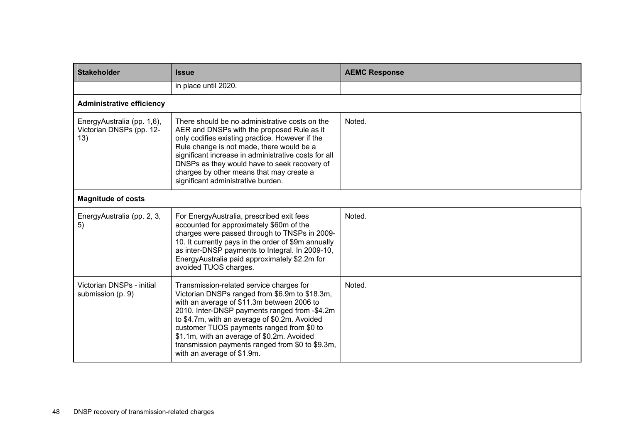| <b>Stakeholder</b>                                            | <b>Issue</b>                                                                                                                                                                                                                                                                                                                                                                                                            | <b>AEMC Response</b> |
|---------------------------------------------------------------|-------------------------------------------------------------------------------------------------------------------------------------------------------------------------------------------------------------------------------------------------------------------------------------------------------------------------------------------------------------------------------------------------------------------------|----------------------|
|                                                               | in place until 2020.                                                                                                                                                                                                                                                                                                                                                                                                    |                      |
| <b>Administrative efficiency</b>                              |                                                                                                                                                                                                                                                                                                                                                                                                                         |                      |
| EnergyAustralia (pp. 1,6),<br>Victorian DNSPs (pp. 12-<br>13) | There should be no administrative costs on the<br>AER and DNSPs with the proposed Rule as it<br>only codifies existing practice. However if the<br>Rule change is not made, there would be a<br>significant increase in administrative costs for all<br>DNSPs as they would have to seek recovery of<br>charges by other means that may create a<br>significant administrative burden.                                  | Noted.               |
| <b>Magnitude of costs</b>                                     |                                                                                                                                                                                                                                                                                                                                                                                                                         |                      |
| EnergyAustralia (pp. 2, 3,<br>5)                              | For EnergyAustralia, prescribed exit fees<br>accounted for approximately \$60m of the<br>charges were passed through to TNSPs in 2009-<br>10. It currently pays in the order of \$9m annually<br>as inter-DNSP payments to Integral. In 2009-10,<br>EnergyAustralia paid approximately \$2.2m for<br>avoided TUOS charges.                                                                                              | Noted.               |
| Victorian DNSPs - initial<br>submission (p. 9)                | Transmission-related service charges for<br>Victorian DNSPs ranged from \$6.9m to \$18.3m,<br>with an average of \$11.3m between 2006 to<br>2010. Inter-DNSP payments ranged from -\$4.2m<br>to \$4.7m, with an average of \$0.2m. Avoided<br>customer TUOS payments ranged from \$0 to<br>\$1.1m, with an average of \$0.2m. Avoided<br>transmission payments ranged from \$0 to \$9.3m,<br>with an average of \$1.9m. | Noted.               |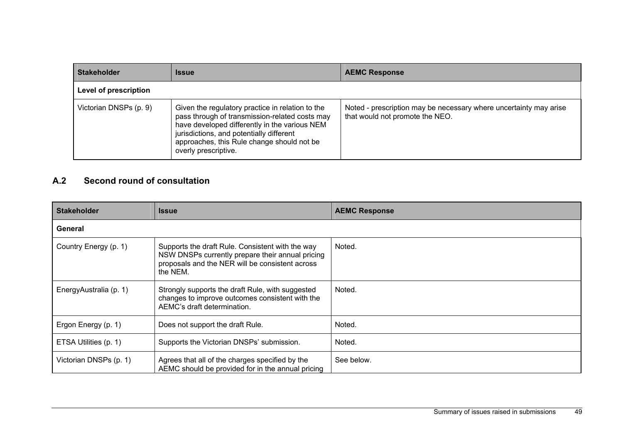| <b>Stakeholder</b>     | <b>Issue</b>                                                                                                                                                                                                                                                          | <b>AEMC Response</b>                                                                                 |
|------------------------|-----------------------------------------------------------------------------------------------------------------------------------------------------------------------------------------------------------------------------------------------------------------------|------------------------------------------------------------------------------------------------------|
| Level of prescription  |                                                                                                                                                                                                                                                                       |                                                                                                      |
| Victorian DNSPs (p. 9) | Given the regulatory practice in relation to the<br>pass through of transmission-related costs may<br>have developed differently in the various NEM<br>jurisdictions, and potentially different<br>approaches, this Rule change should not be<br>overly prescriptive. | Noted - prescription may be necessary where uncertainty may arise<br>that would not promote the NEO. |

#### **A.2 Second round of consultation**

| <b>Stakeholder</b>     | <b>Issue</b>                                                                                                                                                        | <b>AEMC Response</b> |  |
|------------------------|---------------------------------------------------------------------------------------------------------------------------------------------------------------------|----------------------|--|
| General                |                                                                                                                                                                     |                      |  |
| Country Energy (p. 1)  | Supports the draft Rule. Consistent with the way<br>NSW DNSPs currently prepare their annual pricing<br>proposals and the NER will be consistent across<br>the NEM. | Noted.               |  |
| EnergyAustralia (p. 1) | Strongly supports the draft Rule, with suggested<br>changes to improve outcomes consistent with the<br>AEMC's draft determination.                                  | Noted.               |  |
| Ergon Energy (p. 1)    | Does not support the draft Rule.                                                                                                                                    | Noted.               |  |
| ETSA Utilities (p. 1)  | Supports the Victorian DNSPs' submission.                                                                                                                           | Noted.               |  |
| Victorian DNSPs (p. 1) | Agrees that all of the charges specified by the<br>AEMC should be provided for in the annual pricing                                                                | See below.           |  |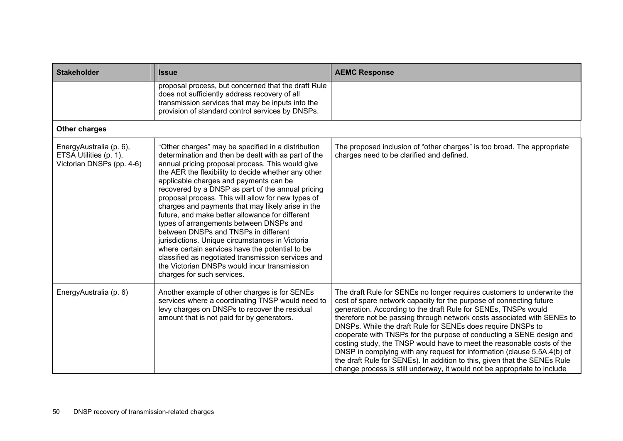| <b>Stakeholder</b>                                                             | <b>Issue</b>                                                                                                                                                                                                                                                                                                                                                                                                                                                                                                                                                                                                                                                                                                                                                                                                   | <b>AEMC Response</b>                                                                                                                                                                                                                                                                                                                                                                                                                                                                                                                                                                                                                                                                                                                             |
|--------------------------------------------------------------------------------|----------------------------------------------------------------------------------------------------------------------------------------------------------------------------------------------------------------------------------------------------------------------------------------------------------------------------------------------------------------------------------------------------------------------------------------------------------------------------------------------------------------------------------------------------------------------------------------------------------------------------------------------------------------------------------------------------------------------------------------------------------------------------------------------------------------|--------------------------------------------------------------------------------------------------------------------------------------------------------------------------------------------------------------------------------------------------------------------------------------------------------------------------------------------------------------------------------------------------------------------------------------------------------------------------------------------------------------------------------------------------------------------------------------------------------------------------------------------------------------------------------------------------------------------------------------------------|
|                                                                                | proposal process, but concerned that the draft Rule<br>does not sufficiently address recovery of all<br>transmission services that may be inputs into the<br>provision of standard control services by DNSPs.                                                                                                                                                                                                                                                                                                                                                                                                                                                                                                                                                                                                  |                                                                                                                                                                                                                                                                                                                                                                                                                                                                                                                                                                                                                                                                                                                                                  |
| <b>Other charges</b>                                                           |                                                                                                                                                                                                                                                                                                                                                                                                                                                                                                                                                                                                                                                                                                                                                                                                                |                                                                                                                                                                                                                                                                                                                                                                                                                                                                                                                                                                                                                                                                                                                                                  |
| EnergyAustralia (p. 6),<br>ETSA Utilities (p. 1),<br>Victorian DNSPs (pp. 4-6) | "Other charges" may be specified in a distribution<br>determination and then be dealt with as part of the<br>annual pricing proposal process. This would give<br>the AER the flexibility to decide whether any other<br>applicable charges and payments can be<br>recovered by a DNSP as part of the annual pricing<br>proposal process. This will allow for new types of<br>charges and payments that may likely arise in the<br>future, and make better allowance for different<br>types of arrangements between DNSPs and<br>between DNSPs and TNSPs in different<br>jurisdictions. Unique circumstances in Victoria<br>where certain services have the potential to be<br>classified as negotiated transmission services and<br>the Victorian DNSPs would incur transmission<br>charges for such services. | The proposed inclusion of "other charges" is too broad. The appropriate<br>charges need to be clarified and defined.                                                                                                                                                                                                                                                                                                                                                                                                                                                                                                                                                                                                                             |
| EnergyAustralia (p. 6)                                                         | Another example of other charges is for SENEs<br>services where a coordinating TNSP would need to<br>levy charges on DNSPs to recover the residual<br>amount that is not paid for by generators.                                                                                                                                                                                                                                                                                                                                                                                                                                                                                                                                                                                                               | The draft Rule for SENEs no longer requires customers to underwrite the<br>cost of spare network capacity for the purpose of connecting future<br>generation. According to the draft Rule for SENEs, TNSPs would<br>therefore not be passing through network costs associated with SENEs to<br>DNSPs. While the draft Rule for SENEs does require DNSPs to<br>cooperate with TNSPs for the purpose of conducting a SENE design and<br>costing study, the TNSP would have to meet the reasonable costs of the<br>DNSP in complying with any request for information (clause 5.5A.4(b) of<br>the draft Rule for SENEs). In addition to this, given that the SENEs Rule<br>change process is still underway, it would not be appropriate to include |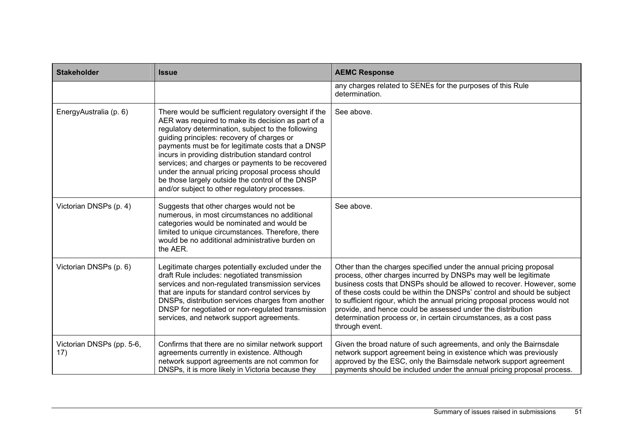| <b>Stakeholder</b>               | <b>Issue</b>                                                                                                                                                                                                                                                                                                                                                                                                                                                                                                                            | <b>AEMC Response</b>                                                                                                                                                                                                                                                                                                                                                                                                                                                                                                          |
|----------------------------------|-----------------------------------------------------------------------------------------------------------------------------------------------------------------------------------------------------------------------------------------------------------------------------------------------------------------------------------------------------------------------------------------------------------------------------------------------------------------------------------------------------------------------------------------|-------------------------------------------------------------------------------------------------------------------------------------------------------------------------------------------------------------------------------------------------------------------------------------------------------------------------------------------------------------------------------------------------------------------------------------------------------------------------------------------------------------------------------|
|                                  |                                                                                                                                                                                                                                                                                                                                                                                                                                                                                                                                         | any charges related to SENEs for the purposes of this Rule<br>determination.                                                                                                                                                                                                                                                                                                                                                                                                                                                  |
| EnergyAustralia (p. 6)           | There would be sufficient regulatory oversight if the<br>AER was required to make its decision as part of a<br>regulatory determination, subject to the following<br>guiding principles: recovery of charges or<br>payments must be for legitimate costs that a DNSP<br>incurs in providing distribution standard control<br>services; and charges or payments to be recovered<br>under the annual pricing proposal process should<br>be those largely outside the control of the DNSP<br>and/or subject to other regulatory processes. | See above.                                                                                                                                                                                                                                                                                                                                                                                                                                                                                                                    |
| Victorian DNSPs (p. 4)           | Suggests that other charges would not be<br>numerous, in most circumstances no additional<br>categories would be nominated and would be<br>limited to unique circumstances. Therefore, there<br>would be no additional administrative burden on<br>the AER.                                                                                                                                                                                                                                                                             | See above.                                                                                                                                                                                                                                                                                                                                                                                                                                                                                                                    |
| Victorian DNSPs (p. 6)           | Legitimate charges potentially excluded under the<br>draft Rule includes: negotiated transmission<br>services and non-regulated transmission services<br>that are inputs for standard control services by<br>DNSPs, distribution services charges from another<br>DNSP for negotiated or non-regulated transmission<br>services, and network support agreements.                                                                                                                                                                        | Other than the charges specified under the annual pricing proposal<br>process, other charges incurred by DNSPs may well be legitimate<br>business costs that DNSPs should be allowed to recover. However, some<br>of these costs could be within the DNSPs' control and should be subject<br>to sufficient rigour, which the annual pricing proposal process would not<br>provide, and hence could be assessed under the distribution<br>determination process or, in certain circumstances, as a cost pass<br>through event. |
| Victorian DNSPs (pp. 5-6,<br>17) | Confirms that there are no similar network support<br>agreements currently in existence. Although<br>network support agreements are not common for<br>DNSPs, it is more likely in Victoria because they                                                                                                                                                                                                                                                                                                                                 | Given the broad nature of such agreements, and only the Bairnsdale<br>network support agreement being in existence which was previously<br>approved by the ESC, only the Bairnsdale network support agreement<br>payments should be included under the annual pricing proposal process.                                                                                                                                                                                                                                       |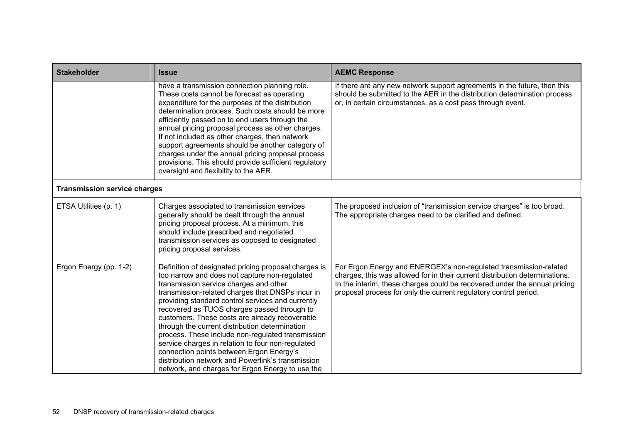| <b>Stakeholder</b>                  | <b>Issue</b>                                                                                                                                                                                                                                                                                                                                                                                                                                                                                                                                                                                                                                                               | <b>AEMC Response</b>                                                                                                                                                                                                                                                                              |
|-------------------------------------|----------------------------------------------------------------------------------------------------------------------------------------------------------------------------------------------------------------------------------------------------------------------------------------------------------------------------------------------------------------------------------------------------------------------------------------------------------------------------------------------------------------------------------------------------------------------------------------------------------------------------------------------------------------------------|---------------------------------------------------------------------------------------------------------------------------------------------------------------------------------------------------------------------------------------------------------------------------------------------------|
|                                     | have a transmission connection planning role.<br>These costs cannot be forecast as operating<br>expenditure for the purposes of the distribution<br>determination process. Such costs should be more<br>efficiently passed on to end users through the<br>annual pricing proposal process as other charges.<br>If not included as other charges, then network<br>support agreements should be another category of<br>charges under the annual pricing proposal process<br>provisions. This should provide sufficient regulatory<br>oversight and flexibility to the AER.                                                                                                   | If there are any new network support agreements in the future, then this<br>should be submitted to the AER in the distribution determination process<br>or, in certain circumstances, as a cost pass through event.                                                                               |
| <b>Transmission service charges</b> |                                                                                                                                                                                                                                                                                                                                                                                                                                                                                                                                                                                                                                                                            |                                                                                                                                                                                                                                                                                                   |
| ETSA Utilities (p. 1)               | Charges associated to transmission services<br>generally should be dealt through the annual<br>pricing proposal process. At a minimum, this<br>should include prescribed and negotiated<br>transmission services as opposed to designated<br>pricing proposal services.                                                                                                                                                                                                                                                                                                                                                                                                    | The proposed inclusion of "transmission service charges" is too broad.<br>The appropriate charges need to be clarified and defined.                                                                                                                                                               |
| Ergon Energy (pp. 1-2)              | Definition of designated pricing proposal charges is<br>too narrow and does not capture non-regulated<br>transmission service charges and other<br>transmission-related charges that DNSPs incur in<br>providing standard control services and currently<br>recovered as TUOS charges passed through to<br>customers. These costs are already recoverable<br>through the current distribution determination<br>process. These include non-regulated transmission<br>service charges in relation to four non-regulated<br>connection points between Ergon Energy's<br>distribution network and Powerlink's transmission<br>network, and charges for Ergon Energy to use the | For Ergon Energy and ENERGEX's non-regulated transmission-related<br>charges, this was allowed for in their current distribution determinations.<br>In the interim, these charges could be recovered under the annual pricing<br>proposal process for only the current regulatory control period. |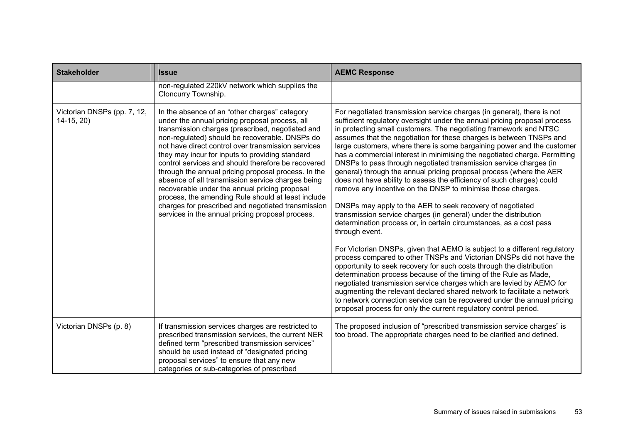| <b>Stakeholder</b>                         | <b>Issue</b>                                                                                                                                                                                                                                                                                                                                                                                                                                                                                                                                                                                                                                                                                      | <b>AEMC Response</b>                                                                                                                                                                                                                                                                                                                                                                                                                                                                                                                                                                                                                                                                                                                                                                                                                                                                                                                                                                                                                                                                                                                                                                                                                                                                                                                                                                                                                                                                                                                                                   |
|--------------------------------------------|---------------------------------------------------------------------------------------------------------------------------------------------------------------------------------------------------------------------------------------------------------------------------------------------------------------------------------------------------------------------------------------------------------------------------------------------------------------------------------------------------------------------------------------------------------------------------------------------------------------------------------------------------------------------------------------------------|------------------------------------------------------------------------------------------------------------------------------------------------------------------------------------------------------------------------------------------------------------------------------------------------------------------------------------------------------------------------------------------------------------------------------------------------------------------------------------------------------------------------------------------------------------------------------------------------------------------------------------------------------------------------------------------------------------------------------------------------------------------------------------------------------------------------------------------------------------------------------------------------------------------------------------------------------------------------------------------------------------------------------------------------------------------------------------------------------------------------------------------------------------------------------------------------------------------------------------------------------------------------------------------------------------------------------------------------------------------------------------------------------------------------------------------------------------------------------------------------------------------------------------------------------------------------|
|                                            | non-regulated 220kV network which supplies the<br>Cloncurry Township.                                                                                                                                                                                                                                                                                                                                                                                                                                                                                                                                                                                                                             |                                                                                                                                                                                                                                                                                                                                                                                                                                                                                                                                                                                                                                                                                                                                                                                                                                                                                                                                                                                                                                                                                                                                                                                                                                                                                                                                                                                                                                                                                                                                                                        |
| Victorian DNSPs (pp. 7, 12,<br>$14-15, 20$ | In the absence of an "other charges" category<br>under the annual pricing proposal process, all<br>transmission charges (prescribed, negotiated and<br>non-regulated) should be recoverable. DNSPs do<br>not have direct control over transmission services<br>they may incur for inputs to providing standard<br>control services and should therefore be recovered<br>through the annual pricing proposal process. In the<br>absence of all transmission service charges being<br>recoverable under the annual pricing proposal<br>process, the amending Rule should at least include<br>charges for prescribed and negotiated transmission<br>services in the annual pricing proposal process. | For negotiated transmission service charges (in general), there is not<br>sufficient regulatory oversight under the annual pricing proposal process<br>in protecting small customers. The negotiating framework and NTSC<br>assumes that the negotiation for these charges is between TNSPs and<br>large customers, where there is some bargaining power and the customer<br>has a commercial interest in minimising the negotiated charge. Permitting<br>DNSPs to pass through negotiated transmission service charges (in<br>general) through the annual pricing proposal process (where the AER<br>does not have ability to assess the efficiency of such charges) could<br>remove any incentive on the DNSP to minimise those charges.<br>DNSPs may apply to the AER to seek recovery of negotiated<br>transmission service charges (in general) under the distribution<br>determination process or, in certain circumstances, as a cost pass<br>through event.<br>For Victorian DNSPs, given that AEMO is subject to a different regulatory<br>process compared to other TNSPs and Victorian DNSPs did not have the<br>opportunity to seek recovery for such costs through the distribution<br>determination process because of the timing of the Rule as Made,<br>negotiated transmission service charges which are levied by AEMO for<br>augmenting the relevant declared shared network to facilitate a network<br>to network connection service can be recovered under the annual pricing<br>proposal process for only the current regulatory control period. |
| Victorian DNSPs (p. 8)                     | If transmission services charges are restricted to<br>prescribed transmission services, the current NER<br>defined term "prescribed transmission services"<br>should be used instead of "designated pricing<br>proposal services" to ensure that any new<br>categories or sub-categories of prescribed                                                                                                                                                                                                                                                                                                                                                                                            | The proposed inclusion of "prescribed transmission service charges" is<br>too broad. The appropriate charges need to be clarified and defined.                                                                                                                                                                                                                                                                                                                                                                                                                                                                                                                                                                                                                                                                                                                                                                                                                                                                                                                                                                                                                                                                                                                                                                                                                                                                                                                                                                                                                         |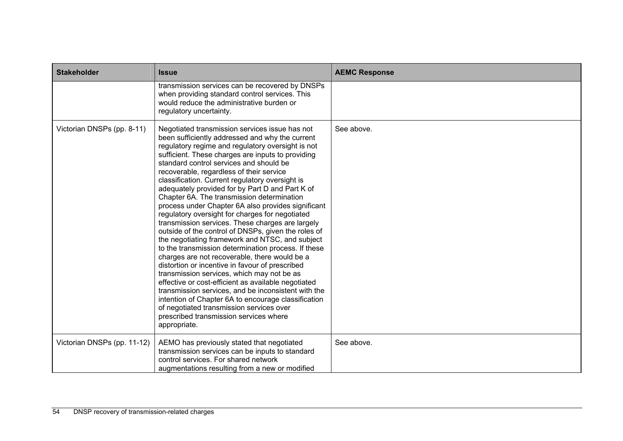| <b>Stakeholder</b>          | <b>Issue</b>                                                                                                                                                                                                                                                                                                                                                                                                                                                                                                                                                                                                                                                                                                                                                                                                                                                                                                                                                                                                                                                                                                                                                                                                      | <b>AEMC Response</b> |
|-----------------------------|-------------------------------------------------------------------------------------------------------------------------------------------------------------------------------------------------------------------------------------------------------------------------------------------------------------------------------------------------------------------------------------------------------------------------------------------------------------------------------------------------------------------------------------------------------------------------------------------------------------------------------------------------------------------------------------------------------------------------------------------------------------------------------------------------------------------------------------------------------------------------------------------------------------------------------------------------------------------------------------------------------------------------------------------------------------------------------------------------------------------------------------------------------------------------------------------------------------------|----------------------|
|                             | transmission services can be recovered by DNSPs<br>when providing standard control services. This<br>would reduce the administrative burden or<br>regulatory uncertainty.                                                                                                                                                                                                                                                                                                                                                                                                                                                                                                                                                                                                                                                                                                                                                                                                                                                                                                                                                                                                                                         |                      |
| Victorian DNSPs (pp. 8-11)  | Negotiated transmission services issue has not<br>been sufficiently addressed and why the current<br>regulatory regime and regulatory oversight is not<br>sufficient. These charges are inputs to providing<br>standard control services and should be<br>recoverable, regardless of their service<br>classification. Current regulatory oversight is<br>adequately provided for by Part D and Part K of<br>Chapter 6A. The transmission determination<br>process under Chapter 6A also provides significant<br>regulatory oversight for charges for negotiated<br>transmission services. These charges are largely<br>outside of the control of DNSPs, given the roles of<br>the negotiating framework and NTSC, and subject<br>to the transmission determination process. If these<br>charges are not recoverable, there would be a<br>distortion or incentive in favour of prescribed<br>transmission services, which may not be as<br>effective or cost-efficient as available negotiated<br>transmission services, and be inconsistent with the<br>intention of Chapter 6A to encourage classification<br>of negotiated transmission services over<br>prescribed transmission services where<br>appropriate. | See above.           |
| Victorian DNSPs (pp. 11-12) | AEMO has previously stated that negotiated<br>transmission services can be inputs to standard<br>control services. For shared network<br>augmentations resulting from a new or modified                                                                                                                                                                                                                                                                                                                                                                                                                                                                                                                                                                                                                                                                                                                                                                                                                                                                                                                                                                                                                           | See above.           |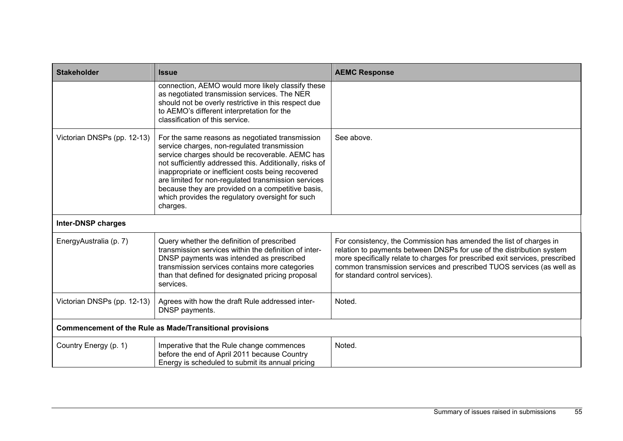| <b>Stakeholder</b>                                              | <b>Issue</b>                                                                                                                                                                                                                                                                                                                                                                                                                                   | <b>AEMC Response</b>                                                                                                                                                                                                                                                                                                                    |
|-----------------------------------------------------------------|------------------------------------------------------------------------------------------------------------------------------------------------------------------------------------------------------------------------------------------------------------------------------------------------------------------------------------------------------------------------------------------------------------------------------------------------|-----------------------------------------------------------------------------------------------------------------------------------------------------------------------------------------------------------------------------------------------------------------------------------------------------------------------------------------|
|                                                                 | connection, AEMO would more likely classify these<br>as negotiated transmission services. The NER<br>should not be overly restrictive in this respect due<br>to AEMO's different interpretation for the<br>classification of this service.                                                                                                                                                                                                     |                                                                                                                                                                                                                                                                                                                                         |
| Victorian DNSPs (pp. 12-13)                                     | For the same reasons as negotiated transmission<br>service charges, non-regulated transmission<br>service charges should be recoverable. AEMC has<br>not sufficiently addressed this. Additionally, risks of<br>inappropriate or inefficient costs being recovered<br>are limited for non-regulated transmission services<br>because they are provided on a competitive basis,<br>which provides the regulatory oversight for such<br>charges. | See above.                                                                                                                                                                                                                                                                                                                              |
| <b>Inter-DNSP charges</b>                                       |                                                                                                                                                                                                                                                                                                                                                                                                                                                |                                                                                                                                                                                                                                                                                                                                         |
| EnergyAustralia (p. 7)                                          | Query whether the definition of prescribed<br>transmission services within the definition of inter-<br>DNSP payments was intended as prescribed<br>transmission services contains more categories<br>than that defined for designated pricing proposal<br>services.                                                                                                                                                                            | For consistency, the Commission has amended the list of charges in<br>relation to payments between DNSPs for use of the distribution system<br>more specifically relate to charges for prescribed exit services, prescribed<br>common transmission services and prescribed TUOS services (as well as<br>for standard control services). |
| Victorian DNSPs (pp. 12-13)                                     | Agrees with how the draft Rule addressed inter-<br>DNSP payments.                                                                                                                                                                                                                                                                                                                                                                              | Noted.                                                                                                                                                                                                                                                                                                                                  |
| <b>Commencement of the Rule as Made/Transitional provisions</b> |                                                                                                                                                                                                                                                                                                                                                                                                                                                |                                                                                                                                                                                                                                                                                                                                         |
| Country Energy (p. 1)                                           | Imperative that the Rule change commences<br>before the end of April 2011 because Country<br>Energy is scheduled to submit its annual pricing                                                                                                                                                                                                                                                                                                  | Noted.                                                                                                                                                                                                                                                                                                                                  |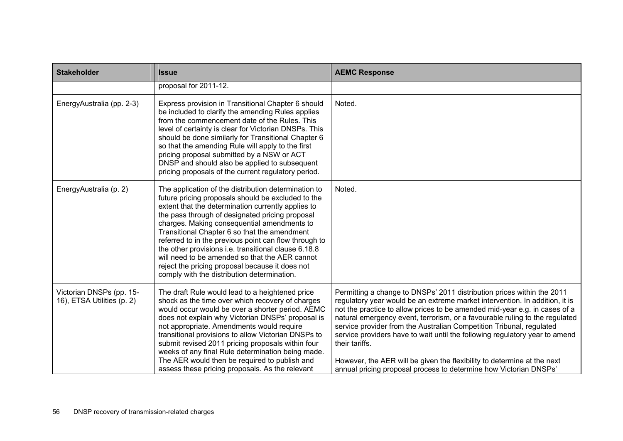| <b>Stakeholder</b>                                     | <b>Issue</b>                                                                                                                                                                                                                                                                                                                                                                                                                                                                                                                                                                            | <b>AEMC Response</b>                                                                                                                                                                                                                                                                                                                                                                                                                                                                                                                                                                                                                        |
|--------------------------------------------------------|-----------------------------------------------------------------------------------------------------------------------------------------------------------------------------------------------------------------------------------------------------------------------------------------------------------------------------------------------------------------------------------------------------------------------------------------------------------------------------------------------------------------------------------------------------------------------------------------|---------------------------------------------------------------------------------------------------------------------------------------------------------------------------------------------------------------------------------------------------------------------------------------------------------------------------------------------------------------------------------------------------------------------------------------------------------------------------------------------------------------------------------------------------------------------------------------------------------------------------------------------|
|                                                        | proposal for 2011-12.                                                                                                                                                                                                                                                                                                                                                                                                                                                                                                                                                                   |                                                                                                                                                                                                                                                                                                                                                                                                                                                                                                                                                                                                                                             |
| EnergyAustralia (pp. 2-3)                              | Express provision in Transitional Chapter 6 should<br>be included to clarify the amending Rules applies<br>from the commencement date of the Rules. This<br>level of certainty is clear for Victorian DNSPs. This<br>should be done similarly for Transitional Chapter 6<br>so that the amending Rule will apply to the first<br>pricing proposal submitted by a NSW or ACT<br>DNSP and should also be applied to subsequent<br>pricing proposals of the current regulatory period.                                                                                                     | Noted.                                                                                                                                                                                                                                                                                                                                                                                                                                                                                                                                                                                                                                      |
| EnergyAustralia (p. 2)                                 | The application of the distribution determination to<br>future pricing proposals should be excluded to the<br>extent that the determination currently applies to<br>the pass through of designated pricing proposal<br>charges. Making consequential amendments to<br>Transitional Chapter 6 so that the amendment<br>referred to in the previous point can flow through to<br>the other provisions i.e. transitional clause 6.18.8<br>will need to be amended so that the AER cannot<br>reject the pricing proposal because it does not<br>comply with the distribution determination. | Noted.                                                                                                                                                                                                                                                                                                                                                                                                                                                                                                                                                                                                                                      |
| Victorian DNSPs (pp. 15-<br>16), ETSA Utilities (p. 2) | The draft Rule would lead to a heightened price<br>shock as the time over which recovery of charges<br>would occur would be over a shorter period. AEMC<br>does not explain why Victorian DNSPs' proposal is<br>not appropriate. Amendments would require<br>transitional provisions to allow Victorian DNSPs to<br>submit revised 2011 pricing proposals within four<br>weeks of any final Rule determination being made.<br>The AER would then be required to publish and<br>assess these pricing proposals. As the relevant                                                          | Permitting a change to DNSPs' 2011 distribution prices within the 2011<br>regulatory year would be an extreme market intervention. In addition, it is<br>not the practice to allow prices to be amended mid-year e.g. in cases of a<br>natural emergency event, terrorism, or a favourable ruling to the regulated<br>service provider from the Australian Competition Tribunal, regulated<br>service providers have to wait until the following regulatory year to amend<br>their tariffs.<br>However, the AER will be given the flexibility to determine at the next<br>annual pricing proposal process to determine how Victorian DNSPs' |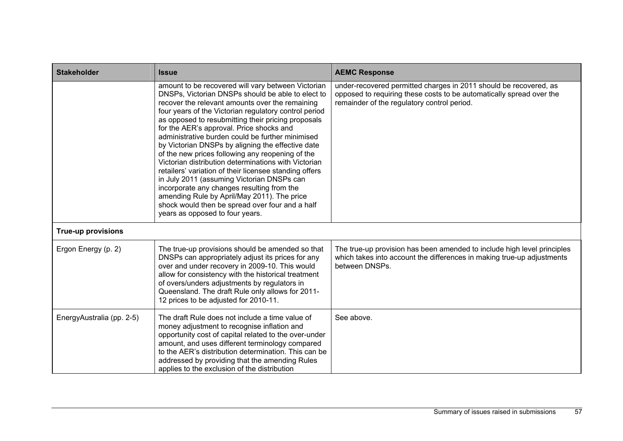| <b>Stakeholder</b>        | <b>Issue</b>                                                                                                                                                                                                                                                                                                                                                                                                                                                                                                                                                                                                                                                                                                                                                                                                                          | <b>AEMC Response</b>                                                                                                                                                                     |
|---------------------------|---------------------------------------------------------------------------------------------------------------------------------------------------------------------------------------------------------------------------------------------------------------------------------------------------------------------------------------------------------------------------------------------------------------------------------------------------------------------------------------------------------------------------------------------------------------------------------------------------------------------------------------------------------------------------------------------------------------------------------------------------------------------------------------------------------------------------------------|------------------------------------------------------------------------------------------------------------------------------------------------------------------------------------------|
|                           | amount to be recovered will vary between Victorian<br>DNSPs, Victorian DNSPs should be able to elect to<br>recover the relevant amounts over the remaining<br>four years of the Victorian regulatory control period<br>as opposed to resubmitting their pricing proposals<br>for the AER's approval. Price shocks and<br>administrative burden could be further minimised<br>by Victorian DNSPs by aligning the effective date<br>of the new prices following any reopening of the<br>Victorian distribution determinations with Victorian<br>retailers' variation of their licensee standing offers<br>in July 2011 (assuming Victorian DNSPs can<br>incorporate any changes resulting from the<br>amending Rule by April/May 2011). The price<br>shock would then be spread over four and a half<br>years as opposed to four years. | under-recovered permitted charges in 2011 should be recovered, as<br>opposed to requiring these costs to be automatically spread over the<br>remainder of the regulatory control period. |
| <b>True-up provisions</b> |                                                                                                                                                                                                                                                                                                                                                                                                                                                                                                                                                                                                                                                                                                                                                                                                                                       |                                                                                                                                                                                          |
| Ergon Energy (p. 2)       | The true-up provisions should be amended so that<br>DNSPs can appropriately adjust its prices for any<br>over and under recovery in 2009-10. This would<br>allow for consistency with the historical treatment<br>of overs/unders adjustments by regulators in<br>Queensland. The draft Rule only allows for 2011-<br>12 prices to be adjusted for 2010-11.                                                                                                                                                                                                                                                                                                                                                                                                                                                                           | The true-up provision has been amended to include high level principles<br>which takes into account the differences in making true-up adjustments<br>between DNSPs.                      |
| EnergyAustralia (pp. 2-5) | The draft Rule does not include a time value of<br>money adjustment to recognise inflation and<br>opportunity cost of capital related to the over-under<br>amount, and uses different terminology compared<br>to the AER's distribution determination. This can be<br>addressed by providing that the amending Rules<br>applies to the exclusion of the distribution                                                                                                                                                                                                                                                                                                                                                                                                                                                                  | See above.                                                                                                                                                                               |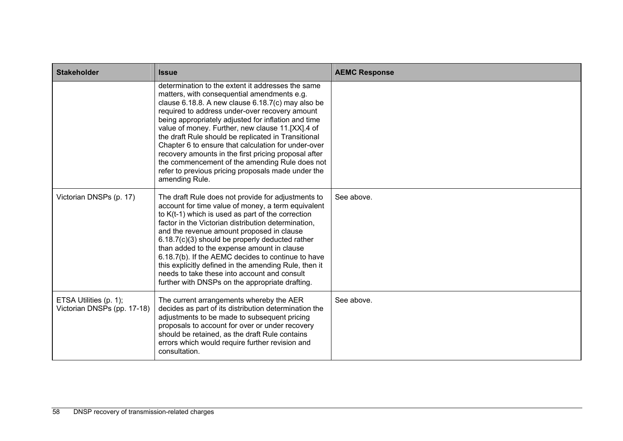| <b>Stakeholder</b>                                    | <b>Issue</b>                                                                                                                                                                                                                                                                                                                                                                                                                                                                                                                                                                                                       | <b>AEMC Response</b> |
|-------------------------------------------------------|--------------------------------------------------------------------------------------------------------------------------------------------------------------------------------------------------------------------------------------------------------------------------------------------------------------------------------------------------------------------------------------------------------------------------------------------------------------------------------------------------------------------------------------------------------------------------------------------------------------------|----------------------|
|                                                       | determination to the extent it addresses the same<br>matters, with consequential amendments e.g.<br>clause 6.18.8. A new clause 6.18.7(c) may also be<br>required to address under-over recovery amount<br>being appropriately adjusted for inflation and time<br>value of money. Further, new clause 11.[XX].4 of<br>the draft Rule should be replicated in Transitional<br>Chapter 6 to ensure that calculation for under-over<br>recovery amounts in the first pricing proposal after<br>the commencement of the amending Rule does not<br>refer to previous pricing proposals made under the<br>amending Rule. |                      |
| Victorian DNSPs (p. 17)                               | The draft Rule does not provide for adjustments to<br>account for time value of money, a term equivalent<br>to $K(t-1)$ which is used as part of the correction<br>factor in the Victorian distribution determination,<br>and the revenue amount proposed in clause<br>6.18.7(c)(3) should be properly deducted rather<br>than added to the expense amount in clause<br>6.18.7(b). If the AEMC decides to continue to have<br>this explicitly defined in the amending Rule, then it<br>needs to take these into account and consult<br>further with DNSPs on the appropriate drafting.                             | See above.           |
| ETSA Utilities (p. 1);<br>Victorian DNSPs (pp. 17-18) | The current arrangements whereby the AER<br>decides as part of its distribution determination the<br>adjustments to be made to subsequent pricing<br>proposals to account for over or under recovery<br>should be retained, as the draft Rule contains<br>errors which would require further revision and<br>consultation.                                                                                                                                                                                                                                                                                         | See above.           |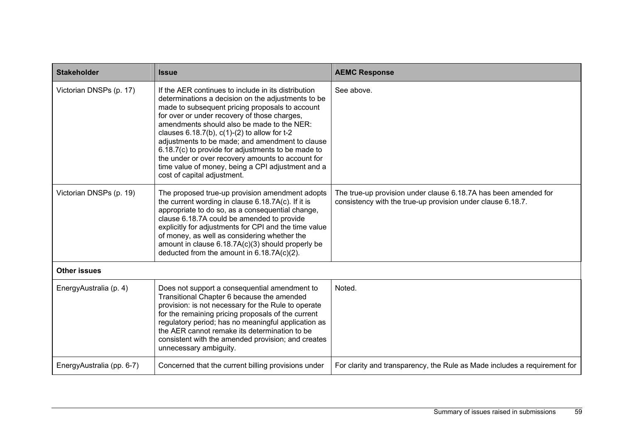| <b>Stakeholder</b>        | <b>Issue</b>                                                                                                                                                                                                                                                                                                                                                                                                                                                                                                                                                      | <b>AEMC Response</b>                                                                                                           |
|---------------------------|-------------------------------------------------------------------------------------------------------------------------------------------------------------------------------------------------------------------------------------------------------------------------------------------------------------------------------------------------------------------------------------------------------------------------------------------------------------------------------------------------------------------------------------------------------------------|--------------------------------------------------------------------------------------------------------------------------------|
| Victorian DNSPs (p. 17)   | If the AER continues to include in its distribution<br>determinations a decision on the adjustments to be<br>made to subsequent pricing proposals to account<br>for over or under recovery of those charges,<br>amendments should also be made to the NER:<br>clauses $6.18.7(b)$ , $c(1)-(2)$ to allow for t-2<br>adjustments to be made; and amendment to clause<br>6.18.7(c) to provide for adjustments to be made to<br>the under or over recovery amounts to account for<br>time value of money, being a CPI adjustment and a<br>cost of capital adjustment. | See above.                                                                                                                     |
| Victorian DNSPs (p. 19)   | The proposed true-up provision amendment adopts<br>the current wording in clause 6.18.7A(c). If it is<br>appropriate to do so, as a consequential change,<br>clause 6.18.7A could be amended to provide<br>explicitly for adjustments for CPI and the time value<br>of money, as well as considering whether the<br>amount in clause 6.18.7A(c)(3) should properly be<br>deducted from the amount in $6.18.7A(c)(2)$ .                                                                                                                                            | The true-up provision under clause 6.18.7A has been amended for<br>consistency with the true-up provision under clause 6.18.7. |
| <b>Other issues</b>       |                                                                                                                                                                                                                                                                                                                                                                                                                                                                                                                                                                   |                                                                                                                                |
| EnergyAustralia (p. 4)    | Does not support a consequential amendment to<br>Transitional Chapter 6 because the amended<br>provision: is not necessary for the Rule to operate<br>for the remaining pricing proposals of the current<br>regulatory period; has no meaningful application as<br>the AER cannot remake its determination to be<br>consistent with the amended provision; and creates<br>unnecessary ambiguity.                                                                                                                                                                  | Noted.                                                                                                                         |
| EnergyAustralia (pp. 6-7) | Concerned that the current billing provisions under                                                                                                                                                                                                                                                                                                                                                                                                                                                                                                               | For clarity and transparency, the Rule as Made includes a requirement for                                                      |